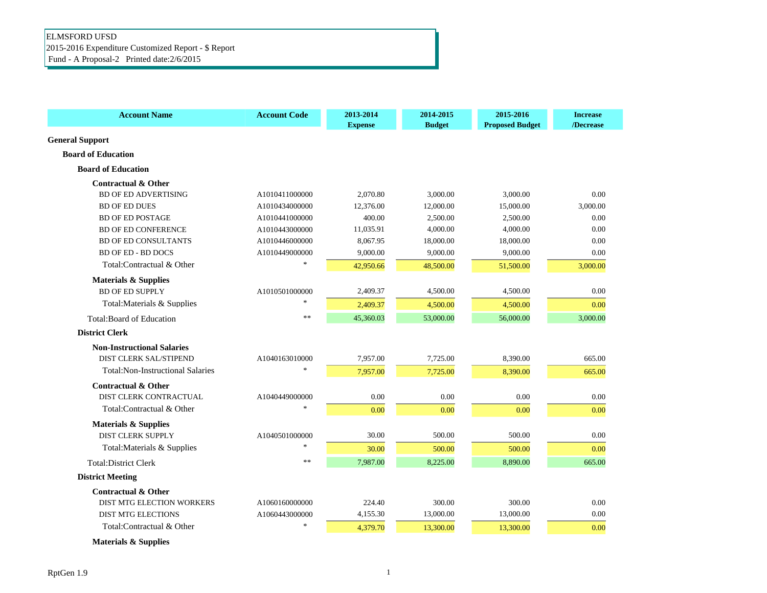## ELMSFORD UFSD 2015-2016 Expenditure Customized Report - \$ Report Fund - A Proposal-2 Printed date:2/6/2015

| <b>Account Name</b>                     | <b>Account Code</b>     | 2013-2014<br><b>Expense</b> | 2014-2015<br><b>Budget</b> | 2015-2016<br><b>Proposed Budget</b> | <b>Increase</b><br>/Decrease |
|-----------------------------------------|-------------------------|-----------------------------|----------------------------|-------------------------------------|------------------------------|
| <b>General Support</b>                  |                         |                             |                            |                                     |                              |
| <b>Board of Education</b>               |                         |                             |                            |                                     |                              |
| <b>Board of Education</b>               |                         |                             |                            |                                     |                              |
| <b>Contractual &amp; Other</b>          |                         |                             |                            |                                     |                              |
| <b>BD OF ED ADVERTISING</b>             | A1010411000000          | 2,070.80                    | 3,000.00                   | 3,000.00                            | 0.00                         |
| <b>BD OF ED DUES</b>                    | A1010434000000          | 12,376.00                   | 12,000.00                  | 15,000.00                           | 3,000.00                     |
| <b>BD OF ED POSTAGE</b>                 | A1010441000000          | 400.00                      | 2.500.00                   | 2.500.00                            | 0.00                         |
| <b>BD OF ED CONFERENCE</b>              | A1010443000000          | 11,035.91                   | 4,000.00                   | 4.000.00                            | 0.00                         |
| <b>BD OF ED CONSULTANTS</b>             | A1010446000000          | 8.067.95                    | 18,000.00                  | 18,000.00                           | 0.00                         |
| <b>BD OF ED - BD DOCS</b>               | A1010449000000          | 9,000.00                    | 9,000.00                   | 9,000.00                            | 0.00                         |
| Total:Contractual & Other               |                         | 42,950.66                   | 48,500.00                  | 51,500.00                           | 3,000.00                     |
| <b>Materials &amp; Supplies</b>         |                         |                             |                            |                                     |                              |
| <b>BD OF ED SUPPLY</b>                  | A1010501000000          | 2,409.37                    | 4,500.00                   | 4,500.00                            | 0.00                         |
| Total: Materials & Supplies             | $\ast$                  | 2,409.37                    | 4,500.00                   | 4,500.00                            | 0.00                         |
| <b>Total:Board of Education</b>         | **                      | 45,360.03                   | 53,000.00                  | 56,000.00                           | 3,000.00                     |
| <b>District Clerk</b>                   |                         |                             |                            |                                     |                              |
| <b>Non-Instructional Salaries</b>       |                         |                             |                            |                                     |                              |
| <b>DIST CLERK SAL/STIPEND</b>           | A1040163010000          | 7,957.00                    | 7,725.00                   | 8,390.00                            | 665.00                       |
| <b>Total:Non-Instructional Salaries</b> |                         | 7,957.00                    | 7,725.00                   | 8,390.00                            | 665.00                       |
| <b>Contractual &amp; Other</b>          |                         |                             |                            |                                     |                              |
| DIST CLERK CONTRACTUAL                  | A1040449000000          | 0.00                        | 0.00                       | 0.00                                | 0.00                         |
| Total:Contractual & Other               | $\ast$                  | 0.00                        | 0.00                       | 0.00                                | 0.00                         |
| <b>Materials &amp; Supplies</b>         |                         |                             |                            |                                     |                              |
| <b>DIST CLERK SUPPLY</b>                | A1040501000000          | 30.00                       | 500.00                     | 500.00                              | 0.00                         |
| Total: Materials & Supplies             | $\mathbf{g}_\mathrm{c}$ | 30.00                       | 500.00                     | 500.00                              | 0.00                         |
| <b>Total:District Clerk</b>             | $**$                    | 7,987.00                    | 8,225.00                   | 8,890.00                            | 665.00                       |
| <b>District Meeting</b>                 |                         |                             |                            |                                     |                              |
| <b>Contractual &amp; Other</b>          |                         |                             |                            |                                     |                              |
| <b>DIST MTG ELECTION WORKERS</b>        | A1060160000000          | 224.40                      | 300.00                     | 300.00                              | 0.00                         |
| <b>DIST MTG ELECTIONS</b>               | A1060443000000          | 4,155.30                    | 13,000.00                  | 13,000.00                           | 0.00                         |
| Total:Contractual & Other               | $\ast$                  | 4,379.70                    | 13,300.00                  | 13,300.00                           | 0.00                         |
|                                         |                         |                             |                            |                                     |                              |

 **Materials & Supplies**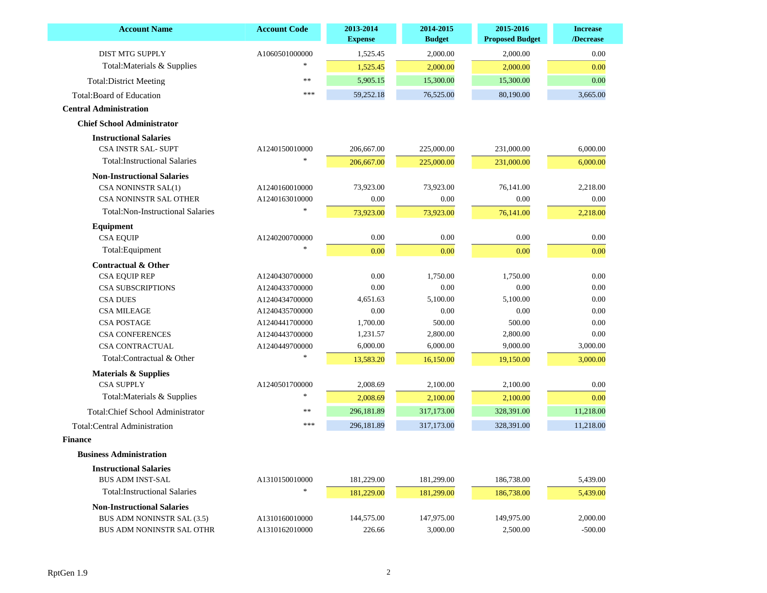| <b>Account Name</b>                     | <b>Account Code</b> | 2013-2014<br><b>Expense</b> | 2014-2015<br><b>Budget</b> | 2015-2016<br><b>Proposed Budget</b> | <b>Increase</b><br>/Decrease |
|-----------------------------------------|---------------------|-----------------------------|----------------------------|-------------------------------------|------------------------------|
| <b>DIST MTG SUPPLY</b>                  | A1060501000000      | 1,525.45                    | 2,000.00                   | 2,000.00                            | 0.00                         |
| Total: Materials & Supplies             |                     | 1,525.45                    | 2,000.00                   | 2,000.00                            | 0.00                         |
| <b>Total:District Meeting</b>           | **                  | 5,905.15                    | 15,300.00                  | 15,300.00                           | 0.00                         |
| <b>Total:Board of Education</b>         | ***                 | 59,252.18                   | 76,525.00                  | 80,190.00                           | 3,665.00                     |
| <b>Central Administration</b>           |                     |                             |                            |                                     |                              |
| <b>Chief School Administrator</b>       |                     |                             |                            |                                     |                              |
| <b>Instructional Salaries</b>           |                     |                             |                            |                                     |                              |
| <b>CSA INSTR SAL- SUPT</b>              | A1240150010000      | 206,667.00                  | 225,000.00                 | 231,000.00                          | 6,000.00                     |
| <b>Total:Instructional Salaries</b>     |                     | 206,667.00                  | 225,000.00                 | 231,000.00                          | 6,000.00                     |
| <b>Non-Instructional Salaries</b>       |                     |                             |                            |                                     |                              |
| CSA NONINSTR SAL(1)                     | A1240160010000      | 73,923.00                   | 73,923.00                  | 76,141.00                           | 2,218.00                     |
| CSA NONINSTR SAL OTHER                  | A1240163010000      | $0.00\,$                    | 0.00                       | 0.00                                | 0.00                         |
| <b>Total:Non-Instructional Salaries</b> |                     | 73,923.00                   | 73,923.00                  | 76,141.00                           | 2,218.00                     |
| Equipment                               |                     |                             |                            |                                     |                              |
| <b>CSA EQUIP</b>                        | A1240200700000      | 0.00                        | 0.00                       | 0.00                                | 0.00                         |
| Total: Equipment                        | $*$                 | 0.00                        | 0.00                       | 0.00                                | 0.00                         |
| <b>Contractual &amp; Other</b>          |                     |                             |                            |                                     |                              |
| <b>CSA EQUIP REP</b>                    | A1240430700000      | 0.00                        | 1,750.00                   | 1,750.00                            | 0.00                         |
| <b>CSA SUBSCRIPTIONS</b>                | A1240433700000      | $0.00\,$                    | 0.00                       | 0.00                                | 0.00                         |
| <b>CSA DUES</b>                         | A1240434700000      | 4,651.63                    | 5,100.00                   | 5,100.00                            | 0.00                         |
| <b>CSA MILEAGE</b>                      | A1240435700000      | $0.00\,$                    | 0.00                       | 0.00                                | 0.00                         |
| <b>CSA POSTAGE</b>                      | A1240441700000      | 1,700.00                    | 500.00                     | 500.00                              | 0.00                         |
| <b>CSA CONFERENCES</b>                  | A1240443700000      | 1,231.57                    | 2,800.00                   | 2,800.00                            | $0.00\,$                     |
| <b>CSA CONTRACTUAL</b>                  | A1240449700000      | 6,000.00                    | 6,000.00                   | 9,000.00                            | 3,000.00                     |
| Total:Contractual & Other               |                     | 13,583.20                   | 16,150.00                  | 19,150.00                           | 3,000.00                     |
| <b>Materials &amp; Supplies</b>         |                     |                             |                            |                                     |                              |
| <b>CSA SUPPLY</b>                       | A1240501700000      | 2,008.69                    | 2,100.00                   | 2,100.00                            | 0.00                         |
| Total: Materials & Supplies             |                     | 2,008.69                    | 2,100.00                   | 2,100.00                            | 0.00                         |
| Total: Chief School Administrator       | **                  | 296,181.89                  | 317,173.00                 | 328,391.00                          | 11,218.00                    |
| <b>Total:Central Administration</b>     | ***                 | 296,181.89                  | 317,173.00                 | 328,391.00                          | 11,218.00                    |
| <b>Finance</b>                          |                     |                             |                            |                                     |                              |
| <b>Business Administration</b>          |                     |                             |                            |                                     |                              |
| <b>Instructional Salaries</b>           |                     |                             |                            |                                     |                              |
| <b>BUS ADM INST-SAL</b>                 | A1310150010000      | 181,229.00                  | 181,299.00                 | 186,738.00                          | 5,439.00                     |
| <b>Total:Instructional Salaries</b>     |                     | 181,229.00                  | 181,299.00                 | 186,738.00                          | 5,439.00                     |
| <b>Non-Instructional Salaries</b>       |                     |                             |                            |                                     |                              |
| BUS ADM NONINSTR SAL (3.5)              | A1310160010000      | 144,575.00                  | 147,975.00                 | 149,975.00                          | 2,000.00                     |
|                                         |                     |                             |                            |                                     |                              |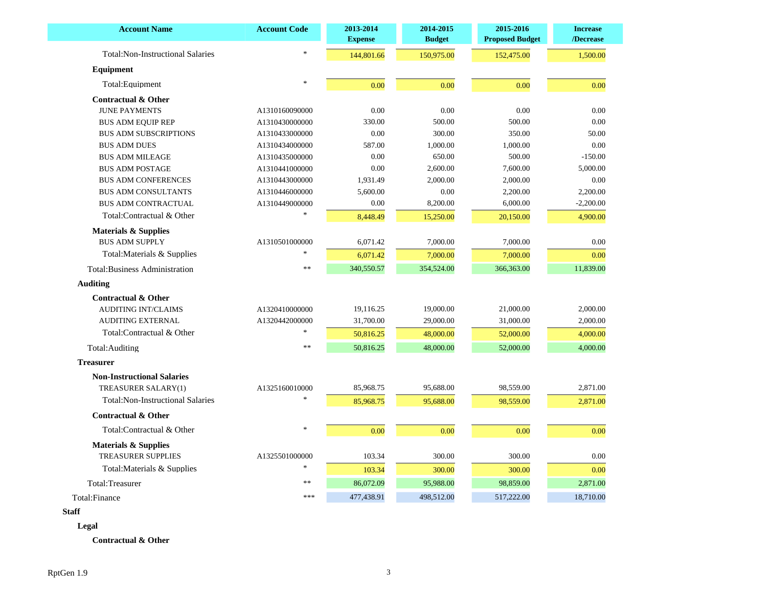| $\frac{1}{2}$<br><b>Total:Non-Instructional Salaries</b><br>144,801.66<br>150,975.00<br>152,475.00<br>1,500.00<br>Equipment<br>Total:Equipment<br>0.00<br>0.00<br>0.00<br>0.00<br><b>Contractual &amp; Other</b><br>0.00<br><b>JUNE PAYMENTS</b><br>0.00<br>0.00<br>0.00<br>A1310160090000<br>330.00<br>0.00<br>500.00<br>500.00<br>A1310430000000<br><b>BUS ADM EQUIP REP</b><br>0.00<br>300.00<br>350.00<br>50.00<br><b>BUS ADM SUBSCRIPTIONS</b><br>A1310433000000<br>0.00<br><b>BUS ADM DUES</b><br>587.00<br>1,000.00<br>1,000.00<br>A1310434000000<br>0.00<br>650.00<br>500.00<br>$-150.00$<br><b>BUS ADM MILEAGE</b><br>A1310435000000<br>0.00<br>2,600.00<br>7,600.00<br>5,000.00<br><b>BUS ADM POSTAGE</b><br>A1310441000000<br>1,931.49<br>2,000.00<br>2,000.00<br>0.00<br><b>BUS ADM CONFERENCES</b><br>A1310443000000<br>5,600.00<br>0.00<br>2,200.00<br>2,200.00<br><b>BUS ADM CONSULTANTS</b><br>A1310446000000<br>0.00<br>8,200.00<br>6,000.00<br>$-2,200.00$<br>BUS ADM CONTRACTUAL<br>A1310449000000<br>Total:Contractual & Other<br>8,448.49<br>15,250.00<br>20,150.00<br>4,900.00<br><b>Materials &amp; Supplies</b><br>0.00<br><b>BUS ADM SUPPLY</b><br>6,071.42<br>7,000.00<br>7,000.00<br>A1310501000000<br>Total: Materials & Supplies<br>0.00<br>6,071.42<br>7,000.00<br>7,000.00<br>340,550.57<br>354,524.00<br>366,363.00<br>11,839.00<br>$\ast$<br><b>Total:Business Administration</b><br><b>Contractual &amp; Other</b><br>19,116.25<br>19,000.00<br>21,000.00<br><b>AUDITING INT/CLAIMS</b><br>2,000.00<br>A1320410000000<br>31,700.00<br>2,000.00<br><b>AUDITING EXTERNAL</b><br>A1320442000000<br>29,000.00<br>31,000.00<br>Total:Contractual & Other<br>50,816.25<br>48,000.00<br>52,000.00<br>4,000.00<br>50,816.25<br>48,000.00<br>52,000.00<br>4,000.00<br>Total: Auditing<br>**<br><b>Non-Instructional Salaries</b><br>85,968.75<br>95,688.00<br>98,559.00<br>2,871.00<br>TREASURER SALARY(1)<br>A1325160010000<br><b>Total:Non-Instructional Salaries</b><br>85,968.75<br>95,688.00<br>98,559.00<br>2,871.00<br><b>Contractual &amp; Other</b><br>Total:Contractual & Other<br>$\ast$<br>0.00<br>0.00<br>0.00<br>0.00<br><b>Materials &amp; Supplies</b><br><b>TREASURER SUPPLIES</b><br>A1325501000000<br>103.34<br>300.00<br>300.00<br>0.00<br>Total: Materials & Supplies<br>103.34<br>300.00<br>300.00<br>0.00<br>Total:Treasurer<br>$\ast$<br>86,072.09<br>95,988.00<br>98,859.00<br>2,871.00<br>***<br>477,438.91<br>18,710.00<br>498,512.00<br>517,222.00 | <b>Account Name</b> | <b>Account Code</b> | 2013-2014<br><b>Expense</b> | 2014-2015<br><b>Budget</b> | 2015-2016<br><b>Proposed Budget</b> | <b>Increase</b><br>/Decrease |
|---------------------------------------------------------------------------------------------------------------------------------------------------------------------------------------------------------------------------------------------------------------------------------------------------------------------------------------------------------------------------------------------------------------------------------------------------------------------------------------------------------------------------------------------------------------------------------------------------------------------------------------------------------------------------------------------------------------------------------------------------------------------------------------------------------------------------------------------------------------------------------------------------------------------------------------------------------------------------------------------------------------------------------------------------------------------------------------------------------------------------------------------------------------------------------------------------------------------------------------------------------------------------------------------------------------------------------------------------------------------------------------------------------------------------------------------------------------------------------------------------------------------------------------------------------------------------------------------------------------------------------------------------------------------------------------------------------------------------------------------------------------------------------------------------------------------------------------------------------------------------------------------------------------------------------------------------------------------------------------------------------------------------------------------------------------------------------------------------------------------------------------------------------------------------------------------------------------------------------------------------------------------------------------------------------------------------------------------------------------------------------------------------------------------------------------------------------------------------------------------------------|---------------------|---------------------|-----------------------------|----------------------------|-------------------------------------|------------------------------|
|                                                                                                                                                                                                                                                                                                                                                                                                                                                                                                                                                                                                                                                                                                                                                                                                                                                                                                                                                                                                                                                                                                                                                                                                                                                                                                                                                                                                                                                                                                                                                                                                                                                                                                                                                                                                                                                                                                                                                                                                                                                                                                                                                                                                                                                                                                                                                                                                                                                                                                         |                     |                     |                             |                            |                                     |                              |
|                                                                                                                                                                                                                                                                                                                                                                                                                                                                                                                                                                                                                                                                                                                                                                                                                                                                                                                                                                                                                                                                                                                                                                                                                                                                                                                                                                                                                                                                                                                                                                                                                                                                                                                                                                                                                                                                                                                                                                                                                                                                                                                                                                                                                                                                                                                                                                                                                                                                                                         |                     |                     |                             |                            |                                     |                              |
|                                                                                                                                                                                                                                                                                                                                                                                                                                                                                                                                                                                                                                                                                                                                                                                                                                                                                                                                                                                                                                                                                                                                                                                                                                                                                                                                                                                                                                                                                                                                                                                                                                                                                                                                                                                                                                                                                                                                                                                                                                                                                                                                                                                                                                                                                                                                                                                                                                                                                                         |                     |                     |                             |                            |                                     |                              |
|                                                                                                                                                                                                                                                                                                                                                                                                                                                                                                                                                                                                                                                                                                                                                                                                                                                                                                                                                                                                                                                                                                                                                                                                                                                                                                                                                                                                                                                                                                                                                                                                                                                                                                                                                                                                                                                                                                                                                                                                                                                                                                                                                                                                                                                                                                                                                                                                                                                                                                         |                     |                     |                             |                            |                                     |                              |
|                                                                                                                                                                                                                                                                                                                                                                                                                                                                                                                                                                                                                                                                                                                                                                                                                                                                                                                                                                                                                                                                                                                                                                                                                                                                                                                                                                                                                                                                                                                                                                                                                                                                                                                                                                                                                                                                                                                                                                                                                                                                                                                                                                                                                                                                                                                                                                                                                                                                                                         |                     |                     |                             |                            |                                     |                              |
|                                                                                                                                                                                                                                                                                                                                                                                                                                                                                                                                                                                                                                                                                                                                                                                                                                                                                                                                                                                                                                                                                                                                                                                                                                                                                                                                                                                                                                                                                                                                                                                                                                                                                                                                                                                                                                                                                                                                                                                                                                                                                                                                                                                                                                                                                                                                                                                                                                                                                                         |                     |                     |                             |                            |                                     |                              |
|                                                                                                                                                                                                                                                                                                                                                                                                                                                                                                                                                                                                                                                                                                                                                                                                                                                                                                                                                                                                                                                                                                                                                                                                                                                                                                                                                                                                                                                                                                                                                                                                                                                                                                                                                                                                                                                                                                                                                                                                                                                                                                                                                                                                                                                                                                                                                                                                                                                                                                         |                     |                     |                             |                            |                                     |                              |
|                                                                                                                                                                                                                                                                                                                                                                                                                                                                                                                                                                                                                                                                                                                                                                                                                                                                                                                                                                                                                                                                                                                                                                                                                                                                                                                                                                                                                                                                                                                                                                                                                                                                                                                                                                                                                                                                                                                                                                                                                                                                                                                                                                                                                                                                                                                                                                                                                                                                                                         |                     |                     |                             |                            |                                     |                              |
|                                                                                                                                                                                                                                                                                                                                                                                                                                                                                                                                                                                                                                                                                                                                                                                                                                                                                                                                                                                                                                                                                                                                                                                                                                                                                                                                                                                                                                                                                                                                                                                                                                                                                                                                                                                                                                                                                                                                                                                                                                                                                                                                                                                                                                                                                                                                                                                                                                                                                                         |                     |                     |                             |                            |                                     |                              |
|                                                                                                                                                                                                                                                                                                                                                                                                                                                                                                                                                                                                                                                                                                                                                                                                                                                                                                                                                                                                                                                                                                                                                                                                                                                                                                                                                                                                                                                                                                                                                                                                                                                                                                                                                                                                                                                                                                                                                                                                                                                                                                                                                                                                                                                                                                                                                                                                                                                                                                         |                     |                     |                             |                            |                                     |                              |
|                                                                                                                                                                                                                                                                                                                                                                                                                                                                                                                                                                                                                                                                                                                                                                                                                                                                                                                                                                                                                                                                                                                                                                                                                                                                                                                                                                                                                                                                                                                                                                                                                                                                                                                                                                                                                                                                                                                                                                                                                                                                                                                                                                                                                                                                                                                                                                                                                                                                                                         |                     |                     |                             |                            |                                     |                              |
|                                                                                                                                                                                                                                                                                                                                                                                                                                                                                                                                                                                                                                                                                                                                                                                                                                                                                                                                                                                                                                                                                                                                                                                                                                                                                                                                                                                                                                                                                                                                                                                                                                                                                                                                                                                                                                                                                                                                                                                                                                                                                                                                                                                                                                                                                                                                                                                                                                                                                                         |                     |                     |                             |                            |                                     |                              |
|                                                                                                                                                                                                                                                                                                                                                                                                                                                                                                                                                                                                                                                                                                                                                                                                                                                                                                                                                                                                                                                                                                                                                                                                                                                                                                                                                                                                                                                                                                                                                                                                                                                                                                                                                                                                                                                                                                                                                                                                                                                                                                                                                                                                                                                                                                                                                                                                                                                                                                         |                     |                     |                             |                            |                                     |                              |
|                                                                                                                                                                                                                                                                                                                                                                                                                                                                                                                                                                                                                                                                                                                                                                                                                                                                                                                                                                                                                                                                                                                                                                                                                                                                                                                                                                                                                                                                                                                                                                                                                                                                                                                                                                                                                                                                                                                                                                                                                                                                                                                                                                                                                                                                                                                                                                                                                                                                                                         |                     |                     |                             |                            |                                     |                              |
|                                                                                                                                                                                                                                                                                                                                                                                                                                                                                                                                                                                                                                                                                                                                                                                                                                                                                                                                                                                                                                                                                                                                                                                                                                                                                                                                                                                                                                                                                                                                                                                                                                                                                                                                                                                                                                                                                                                                                                                                                                                                                                                                                                                                                                                                                                                                                                                                                                                                                                         |                     |                     |                             |                            |                                     |                              |
|                                                                                                                                                                                                                                                                                                                                                                                                                                                                                                                                                                                                                                                                                                                                                                                                                                                                                                                                                                                                                                                                                                                                                                                                                                                                                                                                                                                                                                                                                                                                                                                                                                                                                                                                                                                                                                                                                                                                                                                                                                                                                                                                                                                                                                                                                                                                                                                                                                                                                                         |                     |                     |                             |                            |                                     |                              |
|                                                                                                                                                                                                                                                                                                                                                                                                                                                                                                                                                                                                                                                                                                                                                                                                                                                                                                                                                                                                                                                                                                                                                                                                                                                                                                                                                                                                                                                                                                                                                                                                                                                                                                                                                                                                                                                                                                                                                                                                                                                                                                                                                                                                                                                                                                                                                                                                                                                                                                         |                     |                     |                             |                            |                                     |                              |
|                                                                                                                                                                                                                                                                                                                                                                                                                                                                                                                                                                                                                                                                                                                                                                                                                                                                                                                                                                                                                                                                                                                                                                                                                                                                                                                                                                                                                                                                                                                                                                                                                                                                                                                                                                                                                                                                                                                                                                                                                                                                                                                                                                                                                                                                                                                                                                                                                                                                                                         |                     |                     |                             |                            |                                     |                              |
|                                                                                                                                                                                                                                                                                                                                                                                                                                                                                                                                                                                                                                                                                                                                                                                                                                                                                                                                                                                                                                                                                                                                                                                                                                                                                                                                                                                                                                                                                                                                                                                                                                                                                                                                                                                                                                                                                                                                                                                                                                                                                                                                                                                                                                                                                                                                                                                                                                                                                                         | <b>Auditing</b>     |                     |                             |                            |                                     |                              |
|                                                                                                                                                                                                                                                                                                                                                                                                                                                                                                                                                                                                                                                                                                                                                                                                                                                                                                                                                                                                                                                                                                                                                                                                                                                                                                                                                                                                                                                                                                                                                                                                                                                                                                                                                                                                                                                                                                                                                                                                                                                                                                                                                                                                                                                                                                                                                                                                                                                                                                         |                     |                     |                             |                            |                                     |                              |
|                                                                                                                                                                                                                                                                                                                                                                                                                                                                                                                                                                                                                                                                                                                                                                                                                                                                                                                                                                                                                                                                                                                                                                                                                                                                                                                                                                                                                                                                                                                                                                                                                                                                                                                                                                                                                                                                                                                                                                                                                                                                                                                                                                                                                                                                                                                                                                                                                                                                                                         |                     |                     |                             |                            |                                     |                              |
|                                                                                                                                                                                                                                                                                                                                                                                                                                                                                                                                                                                                                                                                                                                                                                                                                                                                                                                                                                                                                                                                                                                                                                                                                                                                                                                                                                                                                                                                                                                                                                                                                                                                                                                                                                                                                                                                                                                                                                                                                                                                                                                                                                                                                                                                                                                                                                                                                                                                                                         |                     |                     |                             |                            |                                     |                              |
|                                                                                                                                                                                                                                                                                                                                                                                                                                                                                                                                                                                                                                                                                                                                                                                                                                                                                                                                                                                                                                                                                                                                                                                                                                                                                                                                                                                                                                                                                                                                                                                                                                                                                                                                                                                                                                                                                                                                                                                                                                                                                                                                                                                                                                                                                                                                                                                                                                                                                                         |                     |                     |                             |                            |                                     |                              |
|                                                                                                                                                                                                                                                                                                                                                                                                                                                                                                                                                                                                                                                                                                                                                                                                                                                                                                                                                                                                                                                                                                                                                                                                                                                                                                                                                                                                                                                                                                                                                                                                                                                                                                                                                                                                                                                                                                                                                                                                                                                                                                                                                                                                                                                                                                                                                                                                                                                                                                         |                     |                     |                             |                            |                                     |                              |
|                                                                                                                                                                                                                                                                                                                                                                                                                                                                                                                                                                                                                                                                                                                                                                                                                                                                                                                                                                                                                                                                                                                                                                                                                                                                                                                                                                                                                                                                                                                                                                                                                                                                                                                                                                                                                                                                                                                                                                                                                                                                                                                                                                                                                                                                                                                                                                                                                                                                                                         | <b>Treasurer</b>    |                     |                             |                            |                                     |                              |
|                                                                                                                                                                                                                                                                                                                                                                                                                                                                                                                                                                                                                                                                                                                                                                                                                                                                                                                                                                                                                                                                                                                                                                                                                                                                                                                                                                                                                                                                                                                                                                                                                                                                                                                                                                                                                                                                                                                                                                                                                                                                                                                                                                                                                                                                                                                                                                                                                                                                                                         |                     |                     |                             |                            |                                     |                              |
|                                                                                                                                                                                                                                                                                                                                                                                                                                                                                                                                                                                                                                                                                                                                                                                                                                                                                                                                                                                                                                                                                                                                                                                                                                                                                                                                                                                                                                                                                                                                                                                                                                                                                                                                                                                                                                                                                                                                                                                                                                                                                                                                                                                                                                                                                                                                                                                                                                                                                                         |                     |                     |                             |                            |                                     |                              |
|                                                                                                                                                                                                                                                                                                                                                                                                                                                                                                                                                                                                                                                                                                                                                                                                                                                                                                                                                                                                                                                                                                                                                                                                                                                                                                                                                                                                                                                                                                                                                                                                                                                                                                                                                                                                                                                                                                                                                                                                                                                                                                                                                                                                                                                                                                                                                                                                                                                                                                         |                     |                     |                             |                            |                                     |                              |
|                                                                                                                                                                                                                                                                                                                                                                                                                                                                                                                                                                                                                                                                                                                                                                                                                                                                                                                                                                                                                                                                                                                                                                                                                                                                                                                                                                                                                                                                                                                                                                                                                                                                                                                                                                                                                                                                                                                                                                                                                                                                                                                                                                                                                                                                                                                                                                                                                                                                                                         |                     |                     |                             |                            |                                     |                              |
|                                                                                                                                                                                                                                                                                                                                                                                                                                                                                                                                                                                                                                                                                                                                                                                                                                                                                                                                                                                                                                                                                                                                                                                                                                                                                                                                                                                                                                                                                                                                                                                                                                                                                                                                                                                                                                                                                                                                                                                                                                                                                                                                                                                                                                                                                                                                                                                                                                                                                                         |                     |                     |                             |                            |                                     |                              |
|                                                                                                                                                                                                                                                                                                                                                                                                                                                                                                                                                                                                                                                                                                                                                                                                                                                                                                                                                                                                                                                                                                                                                                                                                                                                                                                                                                                                                                                                                                                                                                                                                                                                                                                                                                                                                                                                                                                                                                                                                                                                                                                                                                                                                                                                                                                                                                                                                                                                                                         |                     |                     |                             |                            |                                     |                              |
|                                                                                                                                                                                                                                                                                                                                                                                                                                                                                                                                                                                                                                                                                                                                                                                                                                                                                                                                                                                                                                                                                                                                                                                                                                                                                                                                                                                                                                                                                                                                                                                                                                                                                                                                                                                                                                                                                                                                                                                                                                                                                                                                                                                                                                                                                                                                                                                                                                                                                                         |                     |                     |                             |                            |                                     |                              |
|                                                                                                                                                                                                                                                                                                                                                                                                                                                                                                                                                                                                                                                                                                                                                                                                                                                                                                                                                                                                                                                                                                                                                                                                                                                                                                                                                                                                                                                                                                                                                                                                                                                                                                                                                                                                                                                                                                                                                                                                                                                                                                                                                                                                                                                                                                                                                                                                                                                                                                         |                     |                     |                             |                            |                                     |                              |
|                                                                                                                                                                                                                                                                                                                                                                                                                                                                                                                                                                                                                                                                                                                                                                                                                                                                                                                                                                                                                                                                                                                                                                                                                                                                                                                                                                                                                                                                                                                                                                                                                                                                                                                                                                                                                                                                                                                                                                                                                                                                                                                                                                                                                                                                                                                                                                                                                                                                                                         |                     |                     |                             |                            |                                     |                              |
|                                                                                                                                                                                                                                                                                                                                                                                                                                                                                                                                                                                                                                                                                                                                                                                                                                                                                                                                                                                                                                                                                                                                                                                                                                                                                                                                                                                                                                                                                                                                                                                                                                                                                                                                                                                                                                                                                                                                                                                                                                                                                                                                                                                                                                                                                                                                                                                                                                                                                                         | Total:Finance       |                     |                             |                            |                                     |                              |

 **Staff**

 **Legal**

 **Contractual & Other**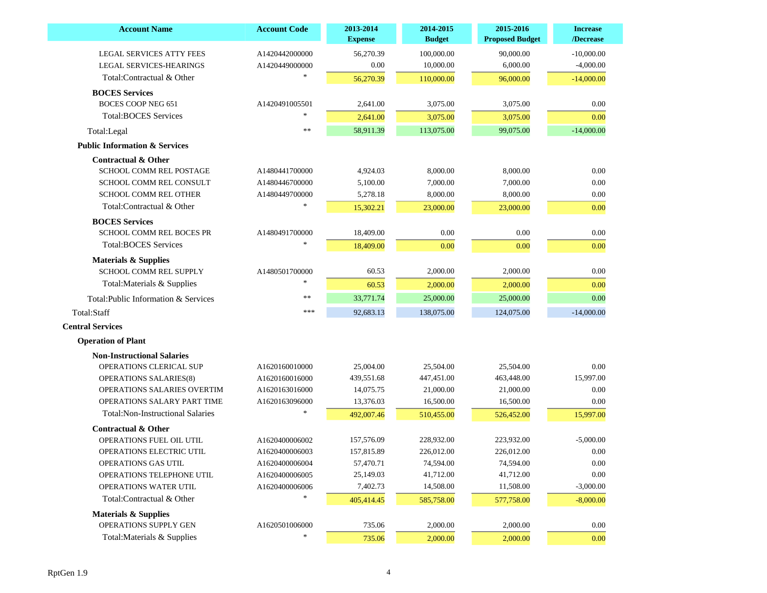| <b>Account Name</b>                      | <b>Account Code</b> | 2013-2014<br><b>Expense</b> | 2014-2015<br><b>Budget</b> | 2015-2016<br><b>Proposed Budget</b> | <b>Increase</b><br>/Decrease |
|------------------------------------------|---------------------|-----------------------------|----------------------------|-------------------------------------|------------------------------|
| <b>LEGAL SERVICES ATTY FEES</b>          | A1420442000000      | 56,270.39                   | 100,000.00                 | 90,000.00                           | $-10,000.00$                 |
| LEGAL SERVICES-HEARINGS                  | A1420449000000      | 0.00                        | 10,000.00                  | 6,000.00                            | $-4,000.00$                  |
| Total:Contractual & Other                |                     | 56,270.39                   | 110,000.00                 | 96,000.00                           | $-14,000.00$                 |
| <b>BOCES</b> Services                    |                     |                             |                            |                                     |                              |
| <b>BOCES COOP NEG 651</b>                | A1420491005501      | 2,641.00                    | 3,075.00                   | 3,075.00                            | 0.00                         |
| <b>Total:BOCES Services</b>              | $\ast$              | 2,641.00                    | 3,075.00                   | 3,075.00                            | 0.00                         |
| Total:Legal                              | **                  | 58,911.39                   | 113,075.00                 | 99,075.00                           | $-14,000.00$                 |
| <b>Public Information &amp; Services</b> |                     |                             |                            |                                     |                              |
| <b>Contractual &amp; Other</b>           |                     |                             |                            |                                     |                              |
| <b>SCHOOL COMM REL POSTAGE</b>           | A1480441700000      | 4,924.03                    | 8,000.00                   | 8,000.00                            | 0.00                         |
| <b>SCHOOL COMM REL CONSULT</b>           | A1480446700000      | 5,100.00                    | 7,000.00                   | 7,000.00                            | 0.00                         |
| <b>SCHOOL COMM REL OTHER</b>             | A1480449700000      | 5,278.18                    | 8,000.00                   | 8,000.00                            | 0.00                         |
| Total:Contractual & Other                |                     | 15,302.21                   | 23,000.00                  | 23,000.00                           | 0.00                         |
| <b>BOCES</b> Services                    |                     |                             |                            |                                     |                              |
| <b>SCHOOL COMM REL BOCES PR</b>          | A1480491700000      | 18,409.00                   | 0.00                       | 0.00                                | 0.00                         |
| <b>Total:BOCES Services</b>              |                     | 18,409.00                   | 0.00                       | 0.00                                | 0.00                         |
| <b>Materials &amp; Supplies</b>          |                     |                             |                            |                                     |                              |
| <b>SCHOOL COMM REL SUPPLY</b>            | A1480501700000      | 60.53                       | 2,000.00                   | 2,000.00                            | 0.00                         |
| Total: Materials & Supplies              |                     | 60.53                       | 2,000.00                   | 2,000.00                            | 0.00                         |
| Total: Public Information & Services     | $\ast$              | 33,771.74                   | 25,000.00                  | 25,000.00                           | 0.00                         |
| Total:Staff                              | ***                 | 92,683.13                   | 138,075.00                 | 124,075.00                          | $-14,000.00$                 |
| <b>Central Services</b>                  |                     |                             |                            |                                     |                              |
| <b>Operation of Plant</b>                |                     |                             |                            |                                     |                              |
| <b>Non-Instructional Salaries</b>        |                     |                             |                            |                                     |                              |
| OPERATIONS CLERICAL SUP                  | A1620160010000      | 25,004.00                   | 25,504.00                  | 25,504.00                           | 0.00                         |
| OPERATIONS SALARIES(8)                   | A1620160016000      | 439,551.68                  | 447,451.00                 | 463,448.00                          | 15,997.00                    |
| OPERATIONS SALARIES OVERTIM              | A1620163016000      | 14,075.75                   | 21,000.00                  | 21,000.00                           | 0.00                         |
| OPERATIONS SALARY PART TIME              | A1620163096000      | 13,376.03                   | 16,500.00                  | 16,500.00                           | 0.00                         |
| <b>Total:Non-Instructional Salaries</b>  |                     | 492,007.46                  | 510,455.00                 | 526,452.00                          | 15,997.00                    |
| <b>Contractual &amp; Other</b>           |                     |                             |                            |                                     |                              |
| OPERATIONS FUEL OIL UTIL                 | A1620400006002      | 157,576.09                  | 228.932.00                 | 223,932.00                          | $-5,000.00$                  |
| OPERATIONS ELECTRIC UTIL                 | A1620400006003      | 157,815.89                  | 226,012.00                 | 226,012.00                          | 0.00                         |
| OPERATIONS GAS UTIL                      | A1620400006004      | 57,470.71                   | 74,594.00                  | 74,594.00                           | 0.00                         |
| OPERATIONS TELEPHONE UTIL                | A1620400006005      | 25,149.03                   | 41,712.00                  | 41,712.00                           | $0.00\,$                     |
| OPERATIONS WATER UTIL                    | A1620400006006      | 7,402.73                    | 14,508.00                  | 11,508.00                           | $-3,000.00$                  |
| Total:Contractual & Other                |                     | 405,414.45                  | 585,758.00                 | 577,758.00                          | $-8,000.00$                  |
| <b>Materials &amp; Supplies</b>          |                     |                             |                            |                                     |                              |
| OPERATIONS SUPPLY GEN                    | A1620501006000      | 735.06                      | 2,000.00                   | 2,000.00                            | 0.00                         |
| Total: Materials & Supplies              |                     | 735.06                      | 2,000.00                   | 2,000.00                            | 0.00                         |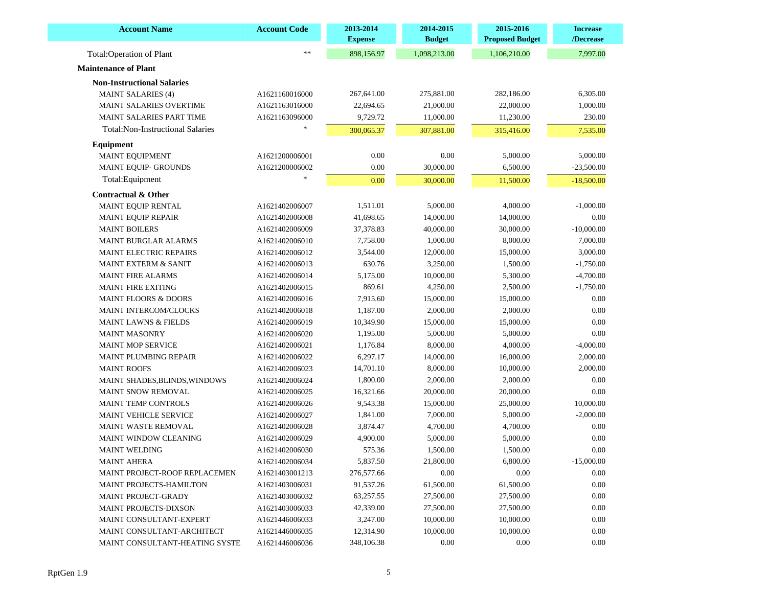| <b>Account Name</b>                     | <b>Account Code</b> | 2013-2014<br><b>Expense</b> | 2014-2015<br><b>Budget</b> | 2015-2016<br><b>Proposed Budget</b> | <b>Increase</b><br>/Decrease |
|-----------------------------------------|---------------------|-----------------------------|----------------------------|-------------------------------------|------------------------------|
| Total:Operation of Plant                | **                  | 898,156.97                  | 1,098,213.00               | 1,106,210.00                        | 7,997.00                     |
| <b>Maintenance of Plant</b>             |                     |                             |                            |                                     |                              |
| <b>Non-Instructional Salaries</b>       |                     |                             |                            |                                     |                              |
| <b>MAINT SALARIES (4)</b>               | A1621160016000      | 267,641.00                  | 275,881.00                 | 282,186.00                          | 6,305.00                     |
| <b>MAINT SALARIES OVERTIME</b>          | A1621163016000      | 22,694.65                   | 21,000.00                  | 22,000.00                           | 1,000.00                     |
| <b>MAINT SALARIES PART TIME</b>         | A1621163096000      | 9,729.72                    | 11,000.00                  | 11,230.00                           | 230.00                       |
| <b>Total:Non-Instructional Salaries</b> |                     | 300,065.37                  | 307,881.00                 | 315,416.00                          | 7,535.00                     |
| Equipment                               |                     |                             |                            |                                     |                              |
| MAINT EQUIPMENT                         | A1621200006001      | 0.00                        | 0.00                       | 5,000.00                            | 5,000.00                     |
| <b>MAINT EQUIP- GROUNDS</b>             | A1621200006002      | 0.00                        | 30,000.00                  | 6,500.00                            | $-23,500.00$                 |
| Total: Equipment                        |                     |                             |                            |                                     |                              |
|                                         |                     | 0.00                        | 30,000.00                  | 11,500.00                           | $-18,500.00$                 |
| Contractual & Other                     |                     |                             |                            |                                     |                              |
| MAINT EQUIP RENTAL                      | A1621402006007      | 1,511.01                    | 5,000.00                   | 4,000.00                            | $-1,000.00$                  |
| <b>MAINT EQUIP REPAIR</b>               | A1621402006008      | 41,698.65                   | 14,000.00                  | 14,000.00                           | 0.00                         |
| <b>MAINT BOILERS</b>                    | A1621402006009      | 37,378.83                   | 40,000.00                  | 30,000.00                           | $-10,000.00$                 |
| <b>MAINT BURGLAR ALARMS</b>             | A1621402006010      | 7,758.00                    | 1,000.00                   | 8,000.00                            | 7,000.00                     |
| <b>MAINT ELECTRIC REPAIRS</b>           | A1621402006012      | 3,544.00                    | 12,000.00                  | 15,000.00                           | 3,000.00                     |
| <b>MAINT EXTERM &amp; SANIT</b>         | A1621402006013      | 630.76                      | 3,250.00                   | 1,500.00                            | $-1,750.00$                  |
| <b>MAINT FIRE ALARMS</b>                | A1621402006014      | 5,175.00                    | 10,000.00                  | 5,300.00                            | $-4,700.00$                  |
| <b>MAINT FIRE EXITING</b>               | A1621402006015      | 869.61                      | 4,250.00                   | 2,500.00                            | $-1,750.00$                  |
| <b>MAINT FLOORS &amp; DOORS</b>         | A1621402006016      | 7,915.60                    | 15,000.00                  | 15,000.00                           | 0.00                         |
| MAINT INTERCOM/CLOCKS                   | A1621402006018      | 1,187.00                    | 2,000.00                   | 2,000.00                            | 0.00                         |
| <b>MAINT LAWNS &amp; FIELDS</b>         | A1621402006019      | 10,349.90                   | 15,000.00                  | 15,000.00                           | 0.00                         |
| <b>MAINT MASONRY</b>                    | A1621402006020      | 1,195.00                    | 5,000.00                   | 5,000.00                            | 0.00                         |
| <b>MAINT MOP SERVICE</b>                | A1621402006021      | 1,176.84                    | 8,000.00                   | 4,000.00                            | $-4,000.00$                  |
| MAINT PLUMBING REPAIR                   | A1621402006022      | 6,297.17                    | 14,000.00                  | 16,000.00                           | 2,000.00                     |
| <b>MAINT ROOFS</b>                      | A1621402006023      | 14,701.10                   | 8,000.00                   | 10,000.00                           | 2,000.00                     |
| <b>MAINT SHADES, BLINDS, WINDOWS</b>    | A1621402006024      | 1,800.00                    | 2,000.00                   | 2,000.00                            | 0.00                         |
| MAINT SNOW REMOVAL                      | A1621402006025      | 16,321.66                   | 20,000.00                  | 20,000.00                           | 0.00                         |
| <b>MAINT TEMP CONTROLS</b>              | A1621402006026      | 9,543.38                    | 15,000.00                  | 25,000.00                           | 10,000.00                    |
| <b>MAINT VEHICLE SERVICE</b>            | A1621402006027      | 1,841.00                    | 7,000.00                   | 5,000.00                            | $-2,000.00$                  |
| MAINT WASTE REMOVAL                     | A1621402006028      | 3,874.47                    | 4,700.00                   | 4,700.00                            | 0.00                         |
| MAINT WINDOW CLEANING                   | A1621402006029      | 4,900.00                    | 5,000.00                   | 5,000.00                            | 0.00                         |
| <b>MAINT WELDING</b>                    | A1621402006030      | 575.36                      | 1,500.00                   | 1,500.00                            | 0.00                         |
| <b>MAINT AHERA</b>                      | A1621402006034      | 5,837.50                    | 21,800.00                  | 6,800.00                            | $-15,000.00$                 |
| <b>MAINT PROJECT-ROOF REPLACEMEN</b>    | A1621403001213      | 276,577.66                  | 0.00                       | 0.00                                | 0.00                         |
| <b>MAINT PROJECTS-HAMILTON</b>          | A1621403006031      | 91,537.26                   | 61,500.00                  | 61,500.00                           | 0.00                         |
| MAINT PROJECT-GRADY                     | A1621403006032      | 63,257.55                   | 27,500.00                  | 27,500.00                           | 0.00                         |
| MAINT PROJECTS-DIXSON                   | A1621403006033      | 42,339.00                   | 27,500.00                  | 27,500.00                           | 0.00                         |
| MAINT CONSULTANT-EXPERT                 | A1621446006033      | 3,247.00                    | 10,000.00                  | 10,000.00                           | 0.00                         |
| MAINT CONSULTANT-ARCHITECT              | A1621446006035      | 12,314.90                   | 10,000.00                  | 10,000.00                           | 0.00                         |
| MAINT CONSULTANT-HEATING SYSTE          | A1621446006036      | 348,106.38                  | 0.00                       | 0.00                                | 0.00                         |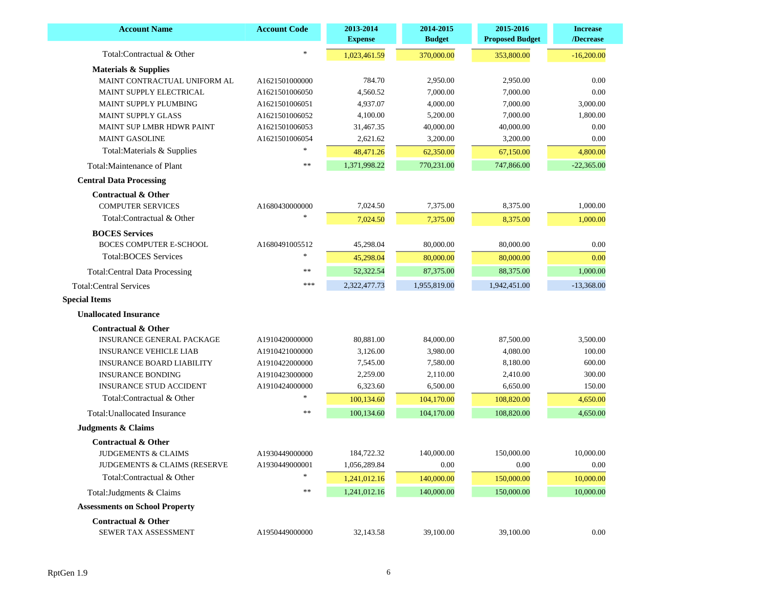| <b>Account Name</b>                   | <b>Account Code</b> | 2013-2014<br><b>Expense</b> | 2014-2015<br><b>Budget</b> | 2015-2016<br><b>Proposed Budget</b> | <b>Increase</b><br>/Decrease |
|---------------------------------------|---------------------|-----------------------------|----------------------------|-------------------------------------|------------------------------|
| Total:Contractual & Other             | $\ast$              | 1,023,461.59                | 370,000.00                 | 353,800.00                          | $-16,200.00$                 |
| <b>Materials &amp; Supplies</b>       |                     |                             |                            |                                     |                              |
| MAINT CONTRACTUAL UNIFORM AL          | A1621501000000      | 784.70                      | 2,950.00                   | 2,950.00                            | 0.00                         |
| MAINT SUPPLY ELECTRICAL               | A1621501006050      | 4,560.52                    | 7,000.00                   | 7,000.00                            | 0.00                         |
| MAINT SUPPLY PLUMBING                 | A1621501006051      | 4,937.07                    | 4,000.00                   | 7,000.00                            | 3,000.00                     |
| <b>MAINT SUPPLY GLASS</b>             | A1621501006052      | 4,100.00                    | 5,200.00                   | 7,000.00                            | 1,800.00                     |
| MAINT SUP LMBR HDWR PAINT             | A1621501006053      | 31,467.35                   | 40,000.00                  | 40,000.00                           | 0.00                         |
| <b>MAINT GASOLINE</b>                 | A1621501006054      | 2,621.62                    | 3,200.00                   | 3,200.00                            | 0.00                         |
| Total: Materials & Supplies           |                     | 48,471.26                   | 62,350.00                  | 67,150.00                           | 4,800.00                     |
| Total: Maintenance of Plant           | **                  | 1,371,998.22                | 770,231.00                 | 747,866.00                          | $-22,365.00$                 |
| <b>Central Data Processing</b>        |                     |                             |                            |                                     |                              |
| <b>Contractual &amp; Other</b>        |                     |                             |                            |                                     |                              |
| <b>COMPUTER SERVICES</b>              | A1680430000000      | 7,024.50                    | 7,375.00                   | 8,375.00                            | 1,000.00                     |
| Total:Contractual & Other             |                     | 7,024.50                    | 7,375.00                   | 8,375.00                            | 1,000.00                     |
| <b>BOCES</b> Services                 |                     |                             |                            |                                     |                              |
| <b>BOCES COMPUTER E-SCHOOL</b>        | A1680491005512      | 45,298.04                   | 80,000.00                  | 80,000.00                           | 0.00                         |
| <b>Total:BOCES Services</b>           | $\ast$              | 45,298.04                   | 80,000.00                  | 80,000.00                           | 0.00                         |
| <b>Total:Central Data Processing</b>  | **                  | 52,322.54                   | 87,375.00                  | 88,375.00                           | 1,000.00                     |
| <b>Total:Central Services</b>         | ***                 | 2,322,477.73                | 1,955,819.00               | 1,942,451.00                        | $-13,368.00$                 |
| <b>Special Items</b>                  |                     |                             |                            |                                     |                              |
| <b>Unallocated Insurance</b>          |                     |                             |                            |                                     |                              |
| <b>Contractual &amp; Other</b>        |                     |                             |                            |                                     |                              |
| <b>INSURANCE GENERAL PACKAGE</b>      | A1910420000000      | 80,881.00                   | 84,000.00                  | 87,500.00                           | 3,500.00                     |
| <b>INSURANCE VEHICLE LIAB</b>         | A1910421000000      | 3,126.00                    | 3,980.00                   | 4,080.00                            | 100.00                       |
| <b>INSURANCE BOARD LIABILITY</b>      | A1910422000000      | 7,545.00                    | 7,580.00                   | 8,180.00                            | 600.00                       |
| <b>INSURANCE BONDING</b>              | A1910423000000      | 2,259.00                    | 2,110.00                   | 2,410.00                            | 300.00                       |
| <b>INSURANCE STUD ACCIDENT</b>        | A1910424000000      | 6,323.60                    | 6,500.00                   | 6,650.00                            | 150.00                       |
| Total:Contractual & Other             |                     | 100,134.60                  | 104,170.00                 | 108,820.00                          | 4,650.00                     |
| Total: Unallocated Insurance          | $\ast$              | 100,134.60                  | 104,170.00                 | 108,820.00                          | 4,650.00                     |
| <b>Judgments &amp; Claims</b>         |                     |                             |                            |                                     |                              |
| <b>Contractual &amp; Other</b>        |                     |                             |                            |                                     |                              |
| JUDGEMENTS & CLAIMS                   | A1930449000000      | 184,722.32                  | 140,000.00                 | 150,000.00                          | 10,000.00                    |
| JUDGEMENTS & CLAIMS (RESERVE          | A1930449000001      | 1,056,289.84                | 0.00                       | 0.00                                | 0.00                         |
| Total:Contractual & Other             |                     | 1,241,012.16                | 140,000.00                 | 150,000.00                          | 10,000.00                    |
| Total: Judgments & Claims             | **                  | 1,241,012.16                | 140,000.00                 | 150,000.00                          | 10,000.00                    |
| <b>Assessments on School Property</b> |                     |                             |                            |                                     |                              |
| <b>Contractual &amp; Other</b>        |                     |                             |                            |                                     |                              |
| SEWER TAX ASSESSMENT                  | A1950449000000      | 32,143.58                   | 39,100.00                  | 39,100.00                           | 0.00                         |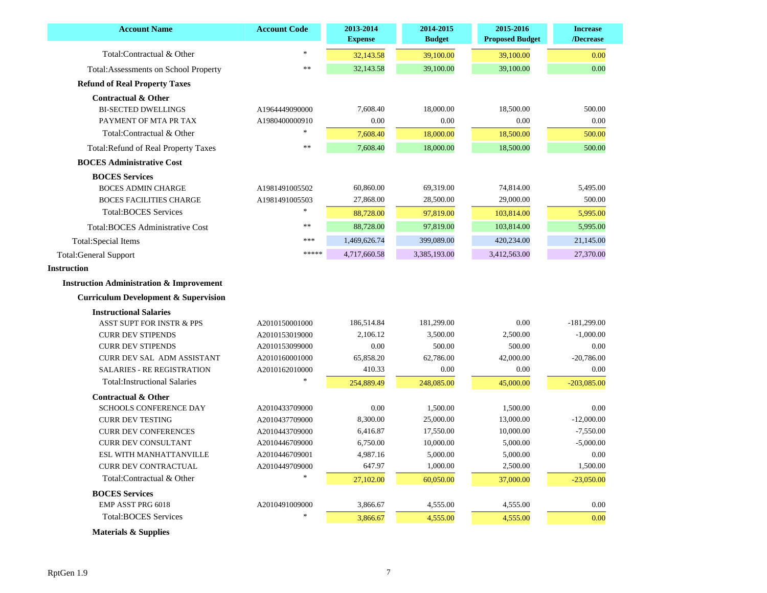| <b>Account Name</b>                                 | <b>Account Code</b> | 2013-2014<br><b>Expense</b> | 2014-2015<br><b>Budget</b> | 2015-2016<br><b>Proposed Budget</b> | <b>Increase</b><br>/Decrease |
|-----------------------------------------------------|---------------------|-----------------------------|----------------------------|-------------------------------------|------------------------------|
| Total:Contractual & Other                           | $\ast$              | 32,143.58                   | 39,100.00                  | 39,100.00                           | 0.00                         |
| Total: Assessments on School Property               | $**$                | 32,143.58                   | 39,100.00                  | 39,100.00                           | 0.00                         |
| <b>Refund of Real Property Taxes</b>                |                     |                             |                            |                                     |                              |
| Contractual & Other                                 |                     |                             |                            |                                     |                              |
| <b>BI-SECTED DWELLINGS</b>                          | A1964449090000      | 7,608.40                    | 18,000.00                  | 18,500.00                           | 500.00                       |
| PAYMENT OF MTA PR TAX                               | A1980400000910      | 0.00                        | 0.00                       | 0.00                                | 0.00                         |
| Total:Contractual & Other                           |                     | 7,608.40                    | 18,000.00                  | 18,500.00                           | 500.00                       |
| <b>Total: Refund of Real Property Taxes</b>         | $**$                | 7,608.40                    | 18,000.00                  | 18,500.00                           | 500.00                       |
| <b>BOCES Administrative Cost</b>                    |                     |                             |                            |                                     |                              |
| <b>BOCES</b> Services                               |                     |                             |                            |                                     |                              |
| <b>BOCES ADMIN CHARGE</b>                           | A1981491005502      | 60,860.00                   | 69,319.00                  | 74,814.00                           | 5,495.00                     |
| <b>BOCES FACILITIES CHARGE</b>                      | A1981491005503      | 27,868.00                   | 28,500.00                  | 29,000.00                           | 500.00                       |
| <b>Total:BOCES Services</b>                         | $\frac{1}{2}$       | 88,728.00                   | 97,819.00                  | 103,814.00                          | 5,995.00                     |
| Total: BOCES Administrative Cost                    | $**$                | 88,728.00                   | 97,819.00                  | 103,814.00                          | 5,995.00                     |
| <b>Total:Special Items</b>                          | ***                 | 1,469,626.74                | 399,089.00                 | 420,234.00                          | 21,145.00                    |
| <b>Total:General Support</b>                        | *****               | 4,717,660.58                | 3,385,193.00               | 3,412,563.00                        | 27,370.00                    |
| <b>Instruction</b>                                  |                     |                             |                            |                                     |                              |
| <b>Instruction Administration &amp; Improvement</b> |                     |                             |                            |                                     |                              |
| <b>Curriculum Development &amp; Supervision</b>     |                     |                             |                            |                                     |                              |
| <b>Instructional Salaries</b>                       |                     |                             |                            |                                     |                              |
| <b>ASST SUPT FOR INSTR &amp; PPS</b>                | A2010150001000      | 186,514.84                  | 181,299.00                 | 0.00                                | $-181,299.00$                |
| <b>CURR DEV STIPENDS</b>                            | A2010153019000      | 2,106.12                    | 3,500.00                   | 2,500.00                            | $-1,000.00$                  |
| <b>CURR DEV STIPENDS</b>                            | A2010153099000      | 0.00                        | 500.00                     | 500.00                              | 0.00                         |
| CURR DEV SAL ADM ASSISTANT                          | A2010160001000      | 65,858.20                   | 62,786.00                  | 42,000.00                           | $-20,786.00$                 |
| <b>SALARIES - RE REGISTRATION</b>                   | A2010162010000      | 410.33                      | 0.00                       | 0.00                                | 0.00                         |
| <b>Total:Instructional Salaries</b>                 |                     | 254,889.49                  | 248,085.00                 | 45,000.00                           | $-203,085.00$                |
| <b>Contractual &amp; Other</b>                      |                     |                             |                            |                                     |                              |
| <b>SCHOOLS CONFERENCE DAY</b>                       | A2010433709000      | 0.00                        | 1,500.00                   | 1,500.00                            | 0.00                         |
| <b>CURR DEV TESTING</b>                             | A2010437709000      | 8,300.00                    | 25,000.00                  | 13,000.00                           | $-12,000.00$                 |
| <b>CURR DEV CONFERENCES</b>                         | A2010443709000      | 6,416.87                    | 17,550.00                  | 10,000.00                           | $-7,550.00$                  |
| CURR DEV CONSULTANT                                 | A2010446709000      | 6,750.00                    | 10,000.00                  | 5,000.00                            | $-5,000.00$                  |
| ESL WITH MANHATTANVILLE                             | A2010446709001      | 4,987.16                    | 5,000.00                   | 5,000.00                            | 0.00                         |
| CURR DEV CONTRACTUAL                                | A2010449709000      | 647.97                      | 1,000.00                   | 2,500.00                            | 1,500.00                     |
| Total:Contractual & Other                           |                     | 27,102.00                   | 60,050.00                  | 37,000.00                           | $-23,050.00$                 |
| <b>BOCES</b> Services                               |                     |                             |                            |                                     |                              |
| EMP ASST PRG 6018                                   | A2010491009000      | 3,866.67                    | 4,555.00                   | 4,555.00                            | 0.00                         |
| <b>Total:BOCES Services</b>                         | $\mathcal{H}$       | 3,866.67                    | 4,555.00                   | 4,555.00                            | 0.00                         |

 **Materials & Supplies**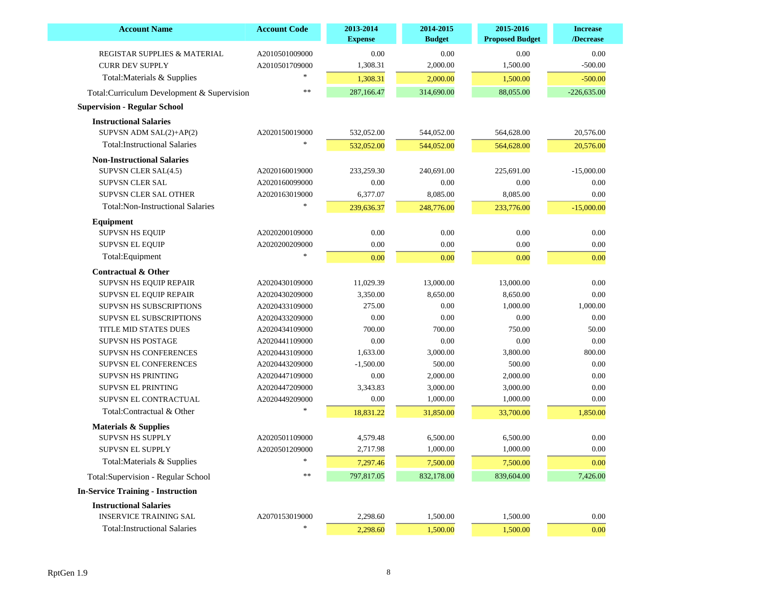| <b>Account Name</b>                        | <b>Account Code</b> | 2013-2014<br><b>Expense</b> | 2014-2015<br><b>Budget</b> | 2015-2016<br><b>Proposed Budget</b> | <b>Increase</b><br>/Decrease |
|--------------------------------------------|---------------------|-----------------------------|----------------------------|-------------------------------------|------------------------------|
| REGISTAR SUPPLIES & MATERIAL               | A2010501009000      | 0.00                        | 0.00                       | 0.00                                | 0.00                         |
| <b>CURR DEV SUPPLY</b>                     | A2010501709000      | 1,308.31                    | 2,000.00                   | 1,500.00                            | $-500.00$                    |
| Total: Materials & Supplies                |                     | 1,308.31                    | 2,000.00                   | 1,500.00                            | $-500.00$                    |
| Total:Curriculum Development & Supervision | $\ast$              | 287,166.47                  | 314,690.00                 | 88,055.00                           | $-226,635.00$                |
| <b>Supervision - Regular School</b>        |                     |                             |                            |                                     |                              |
| <b>Instructional Salaries</b>              |                     |                             |                            |                                     |                              |
| SUPVSN ADM SAL(2)+AP(2)                    | A2020150019000      | 532,052.00                  | 544,052.00                 | 564,628.00                          | 20,576.00                    |
| <b>Total:Instructional Salaries</b>        |                     | 532,052.00                  | 544,052.00                 | 564,628.00                          | 20,576.00                    |
| <b>Non-Instructional Salaries</b>          |                     |                             |                            |                                     |                              |
| SUPVSN CLER SAL(4.5)                       | A2020160019000      | 233,259.30                  | 240,691.00                 | 225,691.00                          | $-15,000.00$                 |
| <b>SUPVSN CLER SAL</b>                     | A2020160099000      | 0.00                        | 0.00                       | 0.00                                | $0.00\,$                     |
| SUPVSN CLER SAL OTHER                      | A2020163019000      | 6,377.07                    | 8,085.00                   | 8,085.00                            | 0.00                         |
| <b>Total:Non-Instructional Salaries</b>    |                     | 239,636.37                  | 248,776.00                 | 233,776.00                          | $-15,000.00$                 |
| Equipment                                  |                     |                             |                            |                                     |                              |
| <b>SUPVSN HS EQUIP</b>                     | A2020200109000      | 0.00                        | 0.00                       | 0.00                                | 0.00                         |
| <b>SUPVSN EL EQUIP</b>                     | A2020200209000      | 0.00                        | 0.00                       | 0.00                                | 0.00                         |
| Total:Equipment                            | $\ast$              | 0.00                        | 0.00                       | 0.00                                | 0.00                         |
| <b>Contractual &amp; Other</b>             |                     |                             |                            |                                     |                              |
| SUPVSN HS EQUIP REPAIR                     | A2020430109000      | 11,029.39                   | 13,000.00                  | 13,000.00                           | 0.00                         |
| SUPVSN EL EQUIP REPAIR                     | A2020430209000      | 3,350.00                    | 8,650.00                   | 8.650.00                            | 0.00                         |
| <b>SUPVSN HS SUBSCRIPTIONS</b>             | A2020433109000      | 275.00                      | 0.00                       | 1,000.00                            | 1,000.00                     |
| <b>SUPVSN EL SUBSCRIPTIONS</b>             | A2020433209000      | $0.00\,$                    | 0.00                       | 0.00                                | $0.00\,$                     |
| TITLE MID STATES DUES                      | A2020434109000      | 700.00                      | 700.00                     | 750.00                              | 50.00                        |
| <b>SUPVSN HS POSTAGE</b>                   | A2020441109000      | $0.00\,$                    | 0.00                       | 0.00                                | $0.00\,$                     |
| SUPVSN HS CONFERENCES                      | A2020443109000      | 1,633.00                    | 3,000.00                   | 3,800.00                            | 800.00                       |
| SUPVSN EL CONFERENCES                      | A2020443209000      | $-1,500.00$                 | 500.00                     | 500.00                              | 0.00                         |
| <b>SUPVSN HS PRINTING</b>                  | A2020447109000      | 0.00                        | 2,000.00                   | 2,000.00                            | 0.00                         |
| <b>SUPVSN EL PRINTING</b>                  | A2020447209000      | 3,343.83                    | 3,000.00                   | 3,000.00                            | 0.00                         |
| SUPVSN EL CONTRACTUAL                      | A2020449209000      | 0.00                        | 1,000.00                   | 1,000.00                            | 0.00                         |
| Total:Contractual & Other                  |                     | 18,831.22                   | 31,850.00                  | 33,700.00                           | 1,850.00                     |
| <b>Materials &amp; Supplies</b>            |                     |                             |                            |                                     |                              |
| <b>SUPVSN HS SUPPLY</b>                    | A2020501109000      | 4,579.48                    | 6,500.00                   | 6,500.00                            | 0.00                         |
| <b>SUPVSN EL SUPPLY</b>                    | A2020501209000      | 2,717.98                    | 1,000.00                   | 1,000.00                            | 0.00                         |
| Total: Materials & Supplies                | $\ast$              | 7,297.46                    | 7,500.00                   | 7,500.00                            | 0.00                         |
| Total: Supervision - Regular School        | **                  | 797,817.05                  | 832,178.00                 | 839,604.00                          | 7,426.00                     |
| <b>In-Service Training - Instruction</b>   |                     |                             |                            |                                     |                              |
| <b>Instructional Salaries</b>              |                     |                             |                            |                                     |                              |
| <b>INSERVICE TRAINING SAL</b>              | A2070153019000      | 2,298.60                    | 1,500.00                   | 1,500.00                            | 0.00                         |
|                                            |                     |                             |                            |                                     |                              |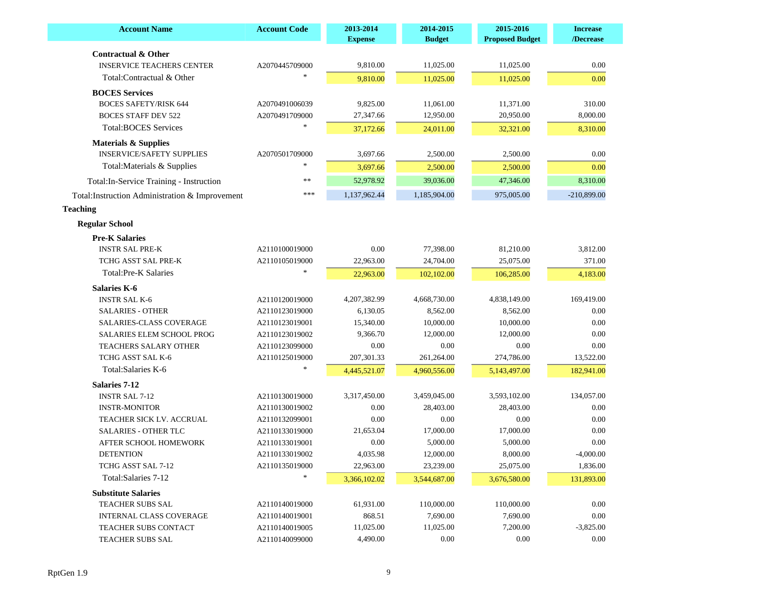| <b>Account Name</b>                             | <b>Account Code</b> | 2013-2014<br><b>Expense</b> | 2014-2015<br><b>Budget</b> | 2015-2016<br><b>Proposed Budget</b> | <b>Increase</b><br>/Decrease |
|-------------------------------------------------|---------------------|-----------------------------|----------------------------|-------------------------------------|------------------------------|
| <b>Contractual &amp; Other</b>                  |                     |                             |                            |                                     |                              |
| <b>INSERVICE TEACHERS CENTER</b>                | A2070445709000      | 9,810.00                    | 11,025.00                  | 11,025.00                           | 0.00                         |
| Total:Contractual & Other                       |                     | 9,810.00                    | 11,025.00                  | 11,025.00                           | 0.00                         |
| <b>BOCES</b> Services                           |                     |                             |                            |                                     |                              |
| <b>BOCES SAFETY/RISK 644</b>                    | A2070491006039      | 9,825.00                    | 11,061.00                  | 11,371.00                           | 310.00                       |
| <b>BOCES STAFF DEV 522</b>                      | A2070491709000      | 27,347.66                   | 12,950.00                  | 20,950.00                           | 8,000.00                     |
| <b>Total:BOCES Services</b>                     |                     | 37,172.66                   | 24,011.00                  | 32,321.00                           | 8,310.00                     |
| <b>Materials &amp; Supplies</b>                 |                     |                             |                            |                                     |                              |
| <b>INSERVICE/SAFETY SUPPLIES</b>                | A2070501709000      | 3,697.66                    | 2,500.00                   | 2,500.00                            | 0.00                         |
| Total: Materials & Supplies                     |                     | 3,697.66                    | 2,500.00                   | 2,500.00                            | 0.00                         |
| Total: In-Service Training - Instruction        | $\ast$              | 52,978.92                   | 39,036.00                  | 47,346.00                           | 8,310.00                     |
| Total: Instruction Administration & Improvement | ***                 | 1,137,962.44                | 1,185,904.00               | 975,005.00                          | $-210,899.00$                |
| <b>Teaching</b>                                 |                     |                             |                            |                                     |                              |
|                                                 |                     |                             |                            |                                     |                              |
| <b>Regular School</b>                           |                     |                             |                            |                                     |                              |
| <b>Pre-K Salaries</b>                           |                     |                             |                            |                                     |                              |
| <b>INSTR SAL PRE-K</b>                          | A2110100019000      | 0.00                        | 77,398.00                  | 81,210.00                           | 3,812.00                     |
| TCHG ASST SAL PRE-K                             | A2110105019000      | 22,963.00                   | 24,704.00                  | 25,075.00                           | 371.00                       |
| <b>Total:Pre-K Salaries</b>                     |                     | 22,963.00                   | 102,102.00                 | 106,285.00                          | 4,183.00                     |
| <b>Salaries K-6</b>                             |                     |                             |                            |                                     |                              |
| <b>INSTR SAL K-6</b>                            | A2110120019000      | 4,207,382.99                | 4,668,730.00               | 4,838,149.00                        | 169,419.00                   |
| <b>SALARIES - OTHER</b>                         | A2110123019000      | 6,130.05                    | 8,562.00                   | 8,562.00                            | $0.00\,$                     |
| <b>SALARIES-CLASS COVERAGE</b>                  | A2110123019001      | 15,340.00                   | 10,000.00                  | 10,000.00                           | $0.00\,$                     |
| SALARIES ELEM SCHOOL PROG                       | A2110123019002      | 9,366.70                    | 12,000.00                  | 12,000.00                           | 0.00                         |
| <b>TEACHERS SALARY OTHER</b>                    | A2110123099000      | 0.00                        | 0.00                       | 0.00                                | 0.00                         |
| TCHG ASST SAL K-6                               | A2110125019000      | 207,301.33                  | 261,264.00                 | 274,786.00                          | 13,522.00                    |
| Total: Salaries K-6                             |                     | 4,445,521.07                | 4,960,556.00               | 5,143,497.00                        | 182,941.00                   |
| <b>Salaries 7-12</b>                            |                     |                             |                            |                                     |                              |
| <b>INSTR SAL 7-12</b>                           | A2110130019000      | 3,317,450.00                | 3,459,045.00               | 3,593,102.00                        | 134,057.00                   |
| <b>INSTR-MONITOR</b>                            | A2110130019002      | 0.00                        | 28,403.00                  | 28,403.00                           | 0.00                         |
| TEACHER SICK LV. ACCRUAL                        | A2110132099001      | 0.00                        | 0.00                       | 0.00                                | 0.00                         |
| <b>SALARIES - OTHER TLC</b>                     | A2110133019000      | 21,653.04                   | 17,000.00                  | 17,000.00                           | 0.00                         |
| AFTER SCHOOL HOMEWORK                           | A2110133019001      | 0.00                        | 5,000.00                   | 5,000.00                            | 0.00                         |
| <b>DETENTION</b>                                | A2110133019002      | 4,035.98                    | 12,000.00                  | 8,000.00                            | $-4,000.00$                  |
| TCHG ASST SAL 7-12                              | A2110135019000      | 22,963.00                   | 23,239.00                  | 25,075.00                           | 1,836.00                     |
| Total: Salaries 7-12                            |                     | 3,366,102.02                | 3,544,687.00               | 3,676,580.00                        | 131,893.00                   |
| <b>Substitute Salaries</b>                      |                     |                             |                            |                                     |                              |
| TEACHER SUBS SAL                                | A2110140019000      | 61,931.00                   | 110,000.00                 | 110,000.00                          | 0.00                         |
| <b>INTERNAL CLASS COVERAGE</b>                  | A2110140019001      | 868.51                      | 7,690.00                   | 7,690.00                            | 0.00                         |
| TEACHER SUBS CONTACT                            | A2110140019005      | 11,025.00                   | 11,025.00                  | 7,200.00                            | $-3,825.00$                  |
| TEACHER SUBS SAL                                | A2110140099000      | 4,490.00                    | 0.00                       | $0.00\,$                            | 0.00                         |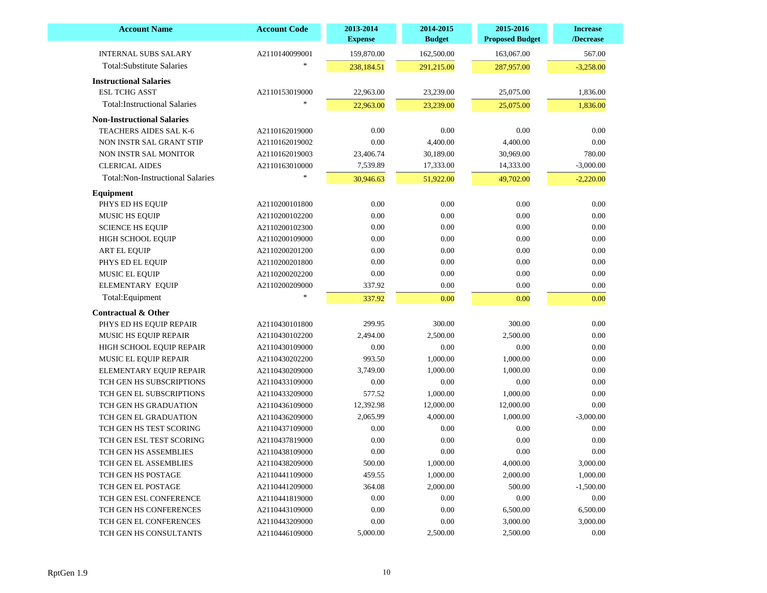| A2110140099001<br>159,870.00<br>162,500.00<br>163,067.00<br>567.00<br>238,184.51<br>291,215.00<br>287,957.00<br>$-3,258.00$<br><b>Instructional Salaries</b><br>22,963.00<br>23,239.00<br>1,836.00<br>A2110153019000<br>25,075.00 |          |           |      |                |                                         |
|-----------------------------------------------------------------------------------------------------------------------------------------------------------------------------------------------------------------------------------|----------|-----------|------|----------------|-----------------------------------------|
|                                                                                                                                                                                                                                   |          |           |      |                | <b>INTERNAL SUBS SALARY</b>             |
|                                                                                                                                                                                                                                   |          |           |      |                | <b>Total:Substitute Salaries</b>        |
|                                                                                                                                                                                                                                   |          |           |      |                |                                         |
|                                                                                                                                                                                                                                   |          |           |      |                | <b>ESL TCHG ASST</b>                    |
| 22,963.00<br>25,075.00<br>1,836.00                                                                                                                                                                                                |          | 23,239.00 |      |                | <b>Total:Instructional Salaries</b>     |
|                                                                                                                                                                                                                                   |          |           |      |                |                                         |
|                                                                                                                                                                                                                                   |          |           |      |                | <b>Non-Instructional Salaries</b>       |
| 0.00<br>0.00<br>0.00<br>0.00<br>A2110162019000                                                                                                                                                                                    |          |           |      |                | TEACHERS AIDES SAL K-6                  |
| $0.00\,$<br>$0.00\,$<br>4,400.00<br>4,400.00<br>A2110162019002                                                                                                                                                                    |          |           |      |                | NON INSTR SAL GRANT STIP                |
| 23,406.74<br>30,189.00<br>30,969.00<br>780.00<br>A2110162019003                                                                                                                                                                   |          |           |      |                | NON INSTR SAL MONITOR                   |
| 7,539.89<br>17,333.00<br>14,333.00<br>$-3,000.00$<br>A2110163010000                                                                                                                                                               |          |           |      |                | <b>CLERICAL AIDES</b>                   |
| 30,946.63<br>51,922.00<br>49,702.00<br>$-2,220.00$                                                                                                                                                                                |          |           |      |                | <b>Total:Non-Instructional Salaries</b> |
|                                                                                                                                                                                                                                   |          |           |      |                | Equipment                               |
| $0.00\,$<br>0.00<br>0.00<br>0.00<br>A2110200101800                                                                                                                                                                                |          |           |      |                | PHYS ED HS EQUIP                        |
| 0.00<br>0.00<br>0.00<br>0.00<br>A2110200102200                                                                                                                                                                                    |          |           |      |                | <b>MUSIC HS EQUIP</b>                   |
| 0.00<br>0.00<br>0.00<br>0.00<br>A2110200102300                                                                                                                                                                                    |          |           |      |                | <b>SCIENCE HS EQUIP</b>                 |
| 0.00<br>0.00<br>0.00<br>0.00<br>A2110200109000                                                                                                                                                                                    |          |           |      |                | HIGH SCHOOL EQUIP                       |
| 0.00<br>0.00<br>0.00<br>0.00<br>A2110200201200                                                                                                                                                                                    |          |           |      |                | <b>ART EL EQUIP</b>                     |
| 0.00<br>0.00<br>0.00<br>0.00<br>A2110200201800                                                                                                                                                                                    |          |           |      |                | PHYS ED EL EQUIP                        |
| 0.00<br>0.00<br>0.00<br>0.00<br>A2110200202200                                                                                                                                                                                    |          |           |      |                | MUSIC EL EQUIP                          |
| 337.92<br>0.00<br>0.00<br>0.00<br>A2110200209000                                                                                                                                                                                  |          |           |      |                | <b>ELEMENTARY EQUIP</b>                 |
| 337.92<br>0.00<br>0.00<br>0.00                                                                                                                                                                                                    |          |           |      |                | Total: Equipment                        |
|                                                                                                                                                                                                                                   |          |           |      |                | <b>Contractual &amp; Other</b>          |
| 299.95<br>300.00<br>300.00<br>0.00<br>A2110430101800                                                                                                                                                                              |          |           |      |                | PHYS ED HS EQUIP REPAIR                 |
| 2,494.00<br>2,500.00<br>2,500.00<br>0.00<br>A2110430102200                                                                                                                                                                        |          |           |      |                | MUSIC HS EQUIP REPAIR                   |
| 0.00<br>0.00<br>0.00<br>0.00<br>A2110430109000                                                                                                                                                                                    |          |           |      |                | HIGH SCHOOL EQUIP REPAIR                |
| 993.50<br>1,000.00<br>1,000.00<br>0.00<br>A2110430202200                                                                                                                                                                          |          |           |      |                | MUSIC EL EQUIP REPAIR                   |
| 3,749.00<br>1,000.00<br>1,000.00<br>0.00<br>A2110430209000                                                                                                                                                                        |          |           |      |                | ELEMENTARY EQUIP REPAIR                 |
| 0.00<br>0.00<br>0.00<br>0.00<br>A2110433109000                                                                                                                                                                                    |          |           |      |                | TCH GEN HS SUBSCRIPTIONS                |
| 577.52<br>1,000.00<br>1,000.00<br>0.00<br>A2110433209000                                                                                                                                                                          |          |           |      |                | TCH GEN EL SUBSCRIPTIONS                |
| 12,392.98<br>12,000.00<br>12,000.00<br>0.00<br>A2110436109000                                                                                                                                                                     |          |           |      |                | TCH GEN HS GRADUATION                   |
| 2,065.99<br>4,000.00<br>1,000.00<br>$-3,000.00$<br>A2110436209000                                                                                                                                                                 |          |           |      |                | TCH GEN EL GRADUATION                   |
| 0.00<br>0.00<br>0.00<br>0.00<br>A2110437109000                                                                                                                                                                                    |          |           |      |                | TCH GEN HS TEST SCORING                 |
| 0.00<br>0.00<br>0.00<br>0.00<br>A2110437819000                                                                                                                                                                                    |          |           |      |                | TCH GEN ESL TEST SCORING                |
| $0.00\,$<br>0.00<br>0.00<br>$0.00\,$<br>A2110438109000                                                                                                                                                                            |          |           |      |                | TCH GEN HS ASSEMBLIES                   |
| 500.00<br>4,000.00<br>1,000.00<br>3,000.00<br>A2110438209000                                                                                                                                                                      |          |           |      |                | TCH GEN EL ASSEMBLIES                   |
| 459.55<br>1,000.00<br>2,000.00<br>1,000.00<br>A2110441109000                                                                                                                                                                      |          |           |      |                | TCH GEN HS POSTAGE                      |
| 364.08<br>2,000.00<br>500.00<br>$-1,500.00$<br>A2110441209000                                                                                                                                                                     |          |           |      |                | TCH GEN EL POSTAGE                      |
| 0.00<br>0.00<br>0.00<br>$0.00\,$<br>A2110441819000                                                                                                                                                                                |          |           |      |                | TCH GEN ESL CONFERENCE                  |
| 6,500.00                                                                                                                                                                                                                          | 6,500.00 | 0.00      | 0.00 | A2110443109000 | TCH GEN HS CONFERENCES                  |
|                                                                                                                                                                                                                                   |          |           |      |                |                                         |
| $0.00\,$<br>0.00<br>3,000.00<br>3,000.00<br>TCH GEN EL CONFERENCES<br>A2110443209000                                                                                                                                              |          |           |      |                |                                         |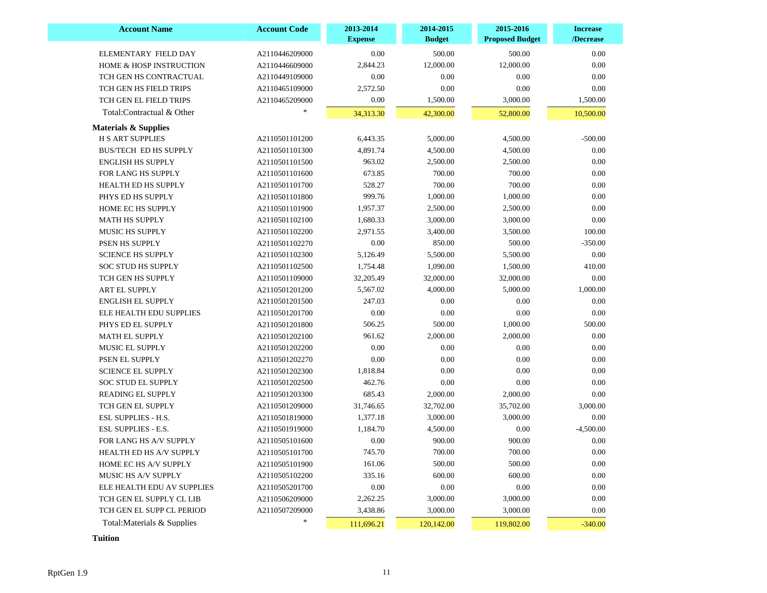| <b>Account Name</b>                | <b>Account Code</b> | 2013-2014<br><b>Expense</b> | 2014-2015<br><b>Budget</b> | 2015-2016<br><b>Proposed Budget</b> | <b>Increase</b><br>/Decrease |
|------------------------------------|---------------------|-----------------------------|----------------------------|-------------------------------------|------------------------------|
| ELEMENTARY FIELD DAY               | A2110446209000      | 0.00                        | 500.00                     | 500.00                              | 0.00                         |
| <b>HOME &amp; HOSP INSTRUCTION</b> | A2110446609000      | 2,844.23                    | 12,000.00                  | 12,000.00                           | 0.00                         |
| TCH GEN HS CONTRACTUAL             | A2110449109000      | 0.00                        | 0.00                       | 0.00                                | 0.00                         |
| TCH GEN HS FIELD TRIPS             | A2110465109000      | 2,572.50                    | 0.00                       | 0.00                                | 0.00                         |
| TCH GEN EL FIELD TRIPS             | A2110465209000      | 0.00                        | 1,500.00                   | 3,000.00                            | 1,500.00                     |
| Total:Contractual & Other          |                     | 34,313.30                   | 42,300.00                  | 52,800.00                           | 10,500.00                    |
| <b>Materials &amp; Supplies</b>    |                     |                             |                            |                                     |                              |
| <b>H S ART SUPPLIES</b>            | A2110501101200      | 6,443.35                    | 5,000.00                   | 4,500.00                            | $-500.00$                    |
| <b>BUS/TECH ED HS SUPPLY</b>       | A2110501101300      | 4,891.74                    | 4,500.00                   | 4,500.00                            | 0.00                         |
| <b>ENGLISH HS SUPPLY</b>           | A2110501101500      | 963.02                      | 2,500.00                   | 2,500.00                            | $0.00\,$                     |
| FOR LANG HS SUPPLY                 | A2110501101600      | 673.85                      | 700.00                     | 700.00                              | $0.00\,$                     |
| HEALTH ED HS SUPPLY                | A2110501101700      | 528.27                      | 700.00                     | 700.00                              | $0.00\,$                     |
| PHYS ED HS SUPPLY                  | A2110501101800      | 999.76                      | 1,000.00                   | 1,000.00                            | $0.00\,$                     |
| <b>HOME EC HS SUPPLY</b>           | A2110501101900      | 1,957.37                    | 2,500.00                   | 2,500.00                            | 0.00                         |
| <b>MATH HS SUPPLY</b>              | A2110501102100      | 1,680.33                    | 3,000.00                   | 3,000.00                            | 0.00                         |
| <b>MUSIC HS SUPPLY</b>             | A2110501102200      | 2,971.55                    | 3,400.00                   | 3,500.00                            | 100.00                       |
| PSEN HS SUPPLY                     | A2110501102270      | 0.00                        | 850.00                     | 500.00                              | $-350.00$                    |
| <b>SCIENCE HS SUPPLY</b>           | A2110501102300      | 5,126.49                    | 5,500.00                   | 5,500.00                            | 0.00                         |
| <b>SOC STUD HS SUPPLY</b>          | A2110501102500      | 1,754.48                    | 1,090.00                   | 1,500.00                            | 410.00                       |
| TCH GEN HS SUPPLY                  | A2110501109000      | 32,205.49                   | 32,000.00                  | 32,000.00                           | 0.00                         |
| <b>ART EL SUPPLY</b>               | A2110501201200      | 5,567.02                    | 4,000.00                   | 5,000.00                            | 1,000.00                     |
| <b>ENGLISH EL SUPPLY</b>           | A2110501201500      | 247.03                      | 0.00                       | 0.00                                | 0.00                         |
| ELE HEALTH EDU SUPPLIES            | A2110501201700      | 0.00                        | 0.00                       | 0.00                                | 0.00                         |
| PHYS ED EL SUPPLY                  | A2110501201800      | 506.25                      | 500.00                     | 1,000.00                            | 500.00                       |
| <b>MATH EL SUPPLY</b>              | A2110501202100      | 961.62                      | 2,000.00                   | 2,000.00                            | 0.00                         |
| MUSIC EL SUPPLY                    | A2110501202200      | $0.00\,$                    | 0.00                       | 0.00                                | $0.00\,$                     |
| PSEN EL SUPPLY                     | A2110501202270      | 0.00                        | 0.00                       | 0.00                                | 0.00                         |
| <b>SCIENCE EL SUPPLY</b>           | A2110501202300      | 1,818.84                    | 0.00                       | 0.00                                | $0.00\,$                     |
| <b>SOC STUD EL SUPPLY</b>          | A2110501202500      | 462.76                      | 0.00                       | 0.00                                | 0.00                         |
| <b>READING EL SUPPLY</b>           | A2110501203300      | 685.43                      | 2,000.00                   | 2,000.00                            | 0.00                         |
| TCH GEN EL SUPPLY                  | A2110501209000      | 31,746.65                   | 32,702.00                  | 35,702.00                           | 3,000.00                     |
| <b>ESL SUPPLIES - H.S.</b>         | A2110501819000      | 1,377.18                    | 3,000.00                   | 3,000.00                            | 0.00                         |
| <b>ESL SUPPLIES - E.S.</b>         | A2110501919000      | 1,184.70                    | 4,500.00                   | 0.00                                | $-4,500.00$                  |
| FOR LANG HS A/V SUPPLY             | A2110505101600      | 0.00                        | 900.00                     | 900.00                              | 0.00                         |
| HEALTH ED HS A/V SUPPLY            | A2110505101700      | 745.70                      | 700.00                     | 700.00                              | 0.00                         |
| HOME EC HS A/V SUPPLY              | A2110505101900      | 161.06                      | 500.00                     | 500.00                              | 0.00                         |
| MUSIC HS A/V SUPPLY                | A2110505102200      | 335.16                      | 600.00                     | 600.00                              | 0.00                         |
| ELE HEALTH EDU AV SUPPLIES         | A2110505201700      | 0.00                        | 0.00                       | 0.00                                | 0.00                         |
| TCH GEN EL SUPPLY CL LIB           | A2110506209000      | 2,262.25                    | 3,000.00                   | 3,000.00                            | 0.00                         |
| TCH GEN EL SUPP CL PERIOD          | A2110507209000      | 3,438.86                    | 3,000.00                   | 3,000.00                            | 0.00                         |
| Total: Materials & Supplies        | $*$                 | 111,696.21                  | 120,142.00                 | 119,802.00                          | $-340.00$                    |

 **Tuition**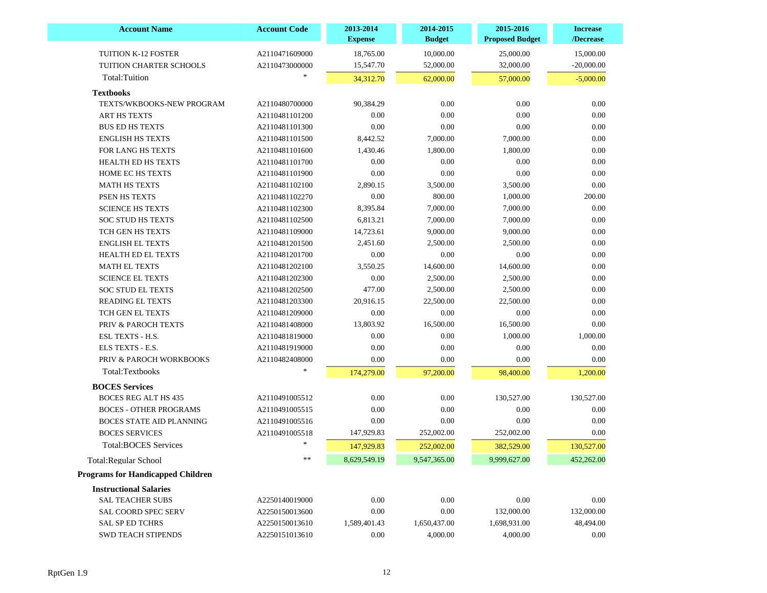| <b>Account Name</b>                      | <b>Account Code</b> | 2013-2014<br><b>Expense</b> | 2014-2015<br><b>Budget</b> | 2015-2016<br><b>Proposed Budget</b> | <b>Increase</b><br>/Decrease |
|------------------------------------------|---------------------|-----------------------------|----------------------------|-------------------------------------|------------------------------|
| TUITION K-12 FOSTER                      | A2110471609000      | 18,765.00                   | 10,000.00                  | 25,000.00                           | 15,000.00                    |
| TUITION CHARTER SCHOOLS                  | A2110473000000      | 15,547.70                   | 52,000.00                  | 32,000.00                           | $-20,000.00$                 |
| Total:Tuition                            |                     | 34,312.70                   | 62,000.00                  | 57,000.00                           | $-5,000.00$                  |
| <b>Textbooks</b>                         |                     |                             |                            |                                     |                              |
| TEXTS/WKBOOKS-NEW PROGRAM                | A2110480700000      | 90,384.29                   | 0.00                       | 0.00                                | 0.00                         |
| ART HS TEXTS                             | A2110481101200      | 0.00                        | 0.00                       | 0.00                                | 0.00                         |
| <b>BUS ED HS TEXTS</b>                   | A2110481101300      | 0.00                        | 0.00                       | 0.00                                | 0.00                         |
| <b>ENGLISH HS TEXTS</b>                  | A2110481101500      | 8,442.52                    | 7,000.00                   | 7,000.00                            | 0.00                         |
| FOR LANG HS TEXTS                        | A2110481101600      | 1,430.46                    | 1,800.00                   | 1,800.00                            | 0.00                         |
| <b>HEALTH ED HS TEXTS</b>                | A2110481101700      | 0.00                        | 0.00                       | 0.00                                | 0.00                         |
| HOME EC HS TEXTS                         | A2110481101900      | 0.00                        | 0.00                       | 0.00                                | 0.00                         |
| <b>MATH HS TEXTS</b>                     | A2110481102100      | 2,890.15                    | 3,500.00                   | 3,500.00                            | 0.00                         |
| PSEN HS TEXTS                            | A2110481102270      | 0.00                        | 800.00                     | 1,000.00                            | 200.00                       |
| <b>SCIENCE HS TEXTS</b>                  | A2110481102300      | 8,395.84                    | 7,000.00                   | 7,000.00                            | 0.00                         |
| <b>SOC STUD HS TEXTS</b>                 | A2110481102500      | 6,813.21                    | 7,000.00                   | 7,000.00                            | 0.00                         |
| TCH GEN HS TEXTS                         | A2110481109000      | 14,723.61                   | 9,000.00                   | 9,000.00                            | 0.00                         |
| <b>ENGLISH EL TEXTS</b>                  | A2110481201500      | 2,451.60                    | 2,500.00                   | 2,500.00                            | 0.00                         |
| <b>HEALTH ED EL TEXTS</b>                | A2110481201700      | $0.00\,$                    | 0.00                       | 0.00                                | 0.00                         |
| <b>MATH EL TEXTS</b>                     | A2110481202100      | 3,550.25                    | 14,600.00                  | 14,600.00                           | 0.00                         |
| <b>SCIENCE EL TEXTS</b>                  | A2110481202300      | 0.00                        | 2,500.00                   | 2,500.00                            | 0.00                         |
| <b>SOC STUD EL TEXTS</b>                 | A2110481202500      | 477.00                      | 2,500.00                   | 2,500.00                            | 0.00                         |
| <b>READING EL TEXTS</b>                  | A2110481203300      | 20,916.15                   | 22,500.00                  | 22,500.00                           | 0.00                         |
| TCH GEN EL TEXTS                         | A2110481209000      | $0.00\,$                    | 0.00                       | 0.00                                | 0.00                         |
| <b>PRIV &amp; PAROCH TEXTS</b>           | A2110481408000      | 13,803.92                   | 16,500.00                  | 16,500.00                           | 0.00                         |
| ESL TEXTS - H.S.                         | A2110481819000      | 0.00                        | 0.00                       | 1,000.00                            | 1,000.00                     |
| ELS TEXTS - E.S.                         | A2110481919000      | 0.00                        | 0.00                       | 0.00                                | 0.00                         |
| PRIV & PAROCH WORKBOOKS                  | A2110482408000      | 0.00                        | 0.00                       | 0.00                                | 0.00                         |
| Total:Textbooks                          | *                   | 174,279.00                  | 97,200.00                  | 98,400.00                           | 1,200.00                     |
| <b>BOCES</b> Services                    |                     |                             |                            |                                     |                              |
| <b>BOCES REG ALT HS 435</b>              | A2110491005512      | 0.00                        | 0.00                       | 130,527.00                          | 130,527.00                   |
| <b>BOCES - OTHER PROGRAMS</b>            | A2110491005515      | 0.00                        | 0.00                       | 0.00                                | $0.00\,$                     |
| <b>BOCES STATE AID PLANNING</b>          | A2110491005516      | 0.00                        | 0.00                       | 0.00                                | 0.00                         |
| <b>BOCES SERVICES</b>                    | A2110491005518      | 147,929.83                  | 252,002.00                 | 252,002.00                          | 0.00                         |
| <b>Total:BOCES Services</b>              | $\ast$              | 147,929.83                  | 252,002.00                 | 382,529.00                          | 130,527.00                   |
| <b>Total:Regular School</b>              | **                  | 8,629,549.19                | 9,547,365.00               | 9,999,627.00                        | 452,262.00                   |
| <b>Programs for Handicapped Children</b> |                     |                             |                            |                                     |                              |
| <b>Instructional Salaries</b>            |                     |                             |                            |                                     |                              |
| <b>SAL TEACHER SUBS</b>                  | A2250140019000      | 0.00                        | $0.00\,$                   | 0.00                                | $0.00\,$                     |
| SAL COORD SPEC SERV                      | A2250150013600      | 0.00                        | 0.00                       | 132,000.00                          | 132,000.00                   |
| <b>SAL SP ED TCHRS</b>                   | A2250150013610      | 1,589,401.43                | 1,650,437.00               | 1,698,931.00                        | 48,494.00                    |
| SWD TEACH STIPENDS                       | A2250151013610      | 0.00                        | 4,000.00                   | 4,000.00                            | 0.00                         |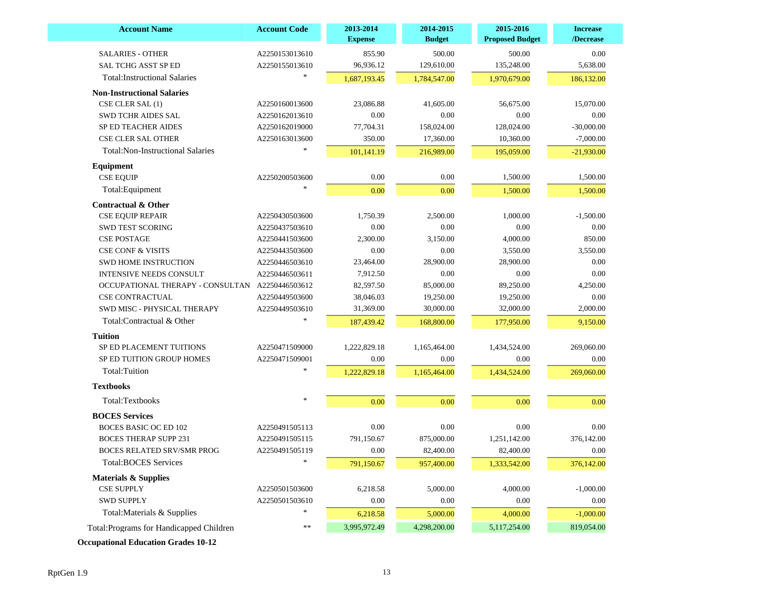| <b>Account Name</b>                      | <b>Account Code</b> | 2013-2014<br><b>Expense</b> | 2014-2015<br><b>Budget</b> | 2015-2016<br><b>Proposed Budget</b> | <b>Increase</b><br>/Decrease |
|------------------------------------------|---------------------|-----------------------------|----------------------------|-------------------------------------|------------------------------|
| <b>SALARIES - OTHER</b>                  | A2250153013610      | 855.90                      | 500.00                     | 500.00                              | 0.00                         |
| <b>SAL TCHG ASST SP ED</b>               | A2250155013610      | 96,936.12                   | 129,610.00                 | 135,248.00                          | 5,638.00                     |
| <b>Total:Instructional Salaries</b>      |                     | 1,687,193.45                | 1,784,547.00               | 1,970,679.00                        | 186,132.00                   |
| <b>Non-Instructional Salaries</b>        |                     |                             |                            |                                     |                              |
| CSE CLER SAL (1)                         | A2250160013600      | 23,086.88                   | 41,605.00                  | 56,675.00                           | 15,070.00                    |
| <b>SWD TCHR AIDES SAL</b>                | A2250162013610      | 0.00                        | 0.00                       | 0.00                                | 0.00                         |
| <b>SP ED TEACHER AIDES</b>               | A2250162019000      | 77,704.31                   | 158,024.00                 | 128,024.00                          | $-30,000.00$                 |
| <b>CSE CLER SAL OTHER</b>                | A2250163013600      | 350.00                      | 17,360.00                  | 10,360.00                           | $-7,000.00$                  |
| <b>Total:Non-Instructional Salaries</b>  |                     | 101,141.19                  | 216,989.00                 | 195,059.00                          | $-21,930.00$                 |
| <b>Equipment</b>                         |                     |                             |                            |                                     |                              |
| <b>CSE EQUIP</b>                         | A2250200503600      | 0.00                        | 0.00                       | 1,500.00                            | 1,500.00                     |
| Total:Equipment                          |                     | 0.00                        | 0.00                       | 1,500.00                            | 1,500.00                     |
| <b>Contractual &amp; Other</b>           |                     |                             |                            |                                     |                              |
| <b>CSE EQUIP REPAIR</b>                  | A2250430503600      | 1,750.39                    | 2,500.00                   | 1,000.00                            | $-1,500.00$                  |
| <b>SWD TEST SCORING</b>                  | A2250437503610      | 0.00                        | 0.00                       | 0.00                                | 0.00                         |
| <b>CSE POSTAGE</b>                       | A2250441503600      | 2,300.00                    | 3,150.00                   | 4,000.00                            | 850.00                       |
| <b>CSE CONF &amp; VISITS</b>             | A2250443503600      | 0.00                        | 0.00                       | 3,550.00                            | 3,550.00                     |
| <b>SWD HOME INSTRUCTION</b>              | A2250446503610      | 23,464.00                   | 28,900.00                  | 28,900.00                           | 0.00                         |
| <b>INTENSIVE NEEDS CONSULT</b>           | A2250446503611      | 7,912.50                    | 0.00                       | 0.00                                | 0.00                         |
| OCCUPATIONAL THERAPY - CONSULTAN         | A2250446503612      | 82,597.50                   | 85,000.00                  | 89,250.00                           | 4,250.00                     |
| <b>CSE CONTRACTUAL</b>                   | A2250449503600      | 38,046.03                   | 19,250.00                  | 19,250.00                           | 0.00                         |
| SWD MISC - PHYSICAL THERAPY              | A2250449503610      | 31,369.00                   | 30,000.00                  | 32,000.00                           | 2,000.00                     |
| Total:Contractual & Other                |                     | 187,439.42                  | 168,800.00                 | 177,950.00                          | 9,150.00                     |
| <b>Tuition</b>                           |                     |                             |                            |                                     |                              |
| SP ED PLACEMENT TUITIONS                 | A2250471509000      | 1,222,829.18                | 1,165,464.00               | 1,434,524.00                        | 269,060.00                   |
| SP ED TUITION GROUP HOMES                | A2250471509001      | 0.00                        | 0.00                       | 0.00                                | 0.00                         |
| Total:Tuition                            | *                   | 1,222,829.18                | 1,165,464.00               | 1,434,524.00                        | 269,060.00                   |
| <b>Textbooks</b>                         |                     |                             |                            |                                     |                              |
| Total:Textbooks                          | $\ast$              | 0.00                        | 0.00                       | 0.00                                | 0.00                         |
| <b>BOCES</b> Services                    |                     |                             |                            |                                     |                              |
| BOCES BASIC OC ED 102                    | A2250491505113      | 0.00                        | 0.00                       | 0.00                                | 0.00                         |
| <b>BOCES THERAP SUPP 231</b>             | A2250491505115      | 791,150.67                  | 875,000.00                 | 1,251,142.00                        | 376,142.00                   |
| <b>BOCES RELATED SRV/SMR PROG</b>        | A2250491505119      | 0.00                        | 82,400.00                  | 82,400.00                           | 0.00                         |
| <b>Total:BOCES Services</b>              | $*$                 | 791,150.67                  | 957,400.00                 | 1,333,542.00                        | 376,142.00                   |
| <b>Materials &amp; Supplies</b>          |                     |                             |                            |                                     |                              |
| <b>CSE SUPPLY</b>                        | A2250501503600      | 6,218.58                    | 5,000.00                   | 4,000.00                            | $-1,000.00$                  |
| <b>SWD SUPPLY</b>                        | A2250501503610      | 0.00                        | 0.00                       | 0.00                                | 0.00                         |
| Total: Materials & Supplies              |                     | 6,218.58                    | 5,000.00                   | 4,000.00                            | $-1,000.00$                  |
| Total: Programs for Handicapped Children | **                  | 3,995,972.49                | 4,298,200.00               | 5,117,254.00                        | 819,054.00                   |
|                                          |                     |                             |                            |                                     |                              |

 **Occupational Education Grades 10-12**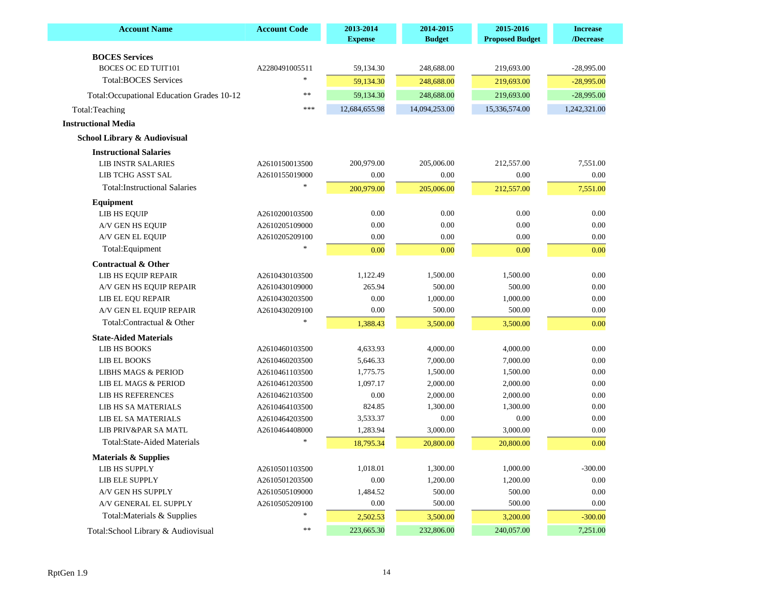| <b>Account Name</b>                        | <b>Account Code</b> | 2013-2014<br><b>Expense</b> | 2014-2015<br><b>Budget</b> | 2015-2016<br><b>Proposed Budget</b> | <b>Increase</b><br>/Decrease |
|--------------------------------------------|---------------------|-----------------------------|----------------------------|-------------------------------------|------------------------------|
| <b>BOCES</b> Services                      |                     |                             |                            |                                     |                              |
| <b>BOCES OC ED TUIT101</b>                 | A2280491005511      | 59,134.30                   | 248,688.00                 | 219,693.00                          | $-28,995.00$                 |
| <b>Total:BOCES Services</b>                | $\ast$              | 59,134.30                   | 248,688.00                 | 219,693.00                          | $-28,995.00$                 |
|                                            | **                  |                             | 248,688.00                 | 219,693.00                          | $-28,995.00$                 |
| Total: Occupational Education Grades 10-12 | $* * *$             | 59,134.30                   |                            |                                     |                              |
| Total:Teaching                             |                     | 12,684,655.98               | 14,094,253.00              | 15,336,574.00                       | 1,242,321.00                 |
| <b>Instructional Media</b>                 |                     |                             |                            |                                     |                              |
| School Library & Audiovisual               |                     |                             |                            |                                     |                              |
| <b>Instructional Salaries</b>              |                     |                             |                            |                                     |                              |
| <b>LIB INSTR SALARIES</b>                  | A2610150013500      | 200,979.00                  | 205,006.00                 | 212,557.00                          | 7,551.00                     |
| LIB TCHG ASST SAL                          | A2610155019000      | 0.00                        | 0.00                       | 0.00                                | 0.00                         |
| <b>Total:Instructional Salaries</b>        |                     | 200,979.00                  | 205,006.00                 | 212,557.00                          | 7,551.00                     |
| <b>Equipment</b>                           |                     |                             |                            |                                     |                              |
| LIB HS EQUIP                               | A2610200103500      | 0.00                        | 0.00                       | 0.00                                | 0.00                         |
| A/V GEN HS EQUIP                           | A2610205109000      | 0.00                        | 0.00                       | 0.00                                | 0.00                         |
| A/V GEN EL EQUIP                           | A2610205209100      | 0.00                        | 0.00                       | 0.00                                | 0.00                         |
| Total:Equipment                            |                     | 0.00                        | 0.00                       | 0.00                                | 0.00                         |
| <b>Contractual &amp; Other</b>             |                     |                             |                            |                                     |                              |
| LIB HS EQUIP REPAIR                        | A2610430103500      | 1,122.49                    | 1,500.00                   | 1.500.00                            | 0.00                         |
| A/V GEN HS EQUIP REPAIR                    | A2610430109000      | 265.94                      | 500.00                     | 500.00                              | 0.00                         |
| LIB EL EOU REPAIR                          | A2610430203500      | 0.00                        | 1,000.00                   | 1,000.00                            | 0.00                         |
| A/V GEN EL EQUIP REPAIR                    | A2610430209100      | 0.00                        | 500.00                     | 500.00                              | 0.00                         |
| Total:Contractual & Other                  |                     | 1,388.43                    | 3,500.00                   | 3,500.00                            | 0.00                         |
| <b>State-Aided Materials</b>               |                     |                             |                            |                                     |                              |
| LIB HS BOOKS                               | A2610460103500      | 4,633.93                    | 4,000.00                   | 4,000.00                            | 0.00                         |
| LIB EL BOOKS                               | A2610460203500      | 5,646.33                    | 7,000.00                   | 7,000.00                            | 0.00                         |
| <b>LIBHS MAGS &amp; PERIOD</b>             | A2610461103500      | 1,775.75                    | 1,500.00                   | 1,500.00                            | 0.00                         |
| LIB EL MAGS & PERIOD                       | A2610461203500      | 1,097.17                    | 2,000.00                   | 2,000.00                            | 0.00                         |
| LIB HS REFERENCES                          | A2610462103500      | 0.00                        | 2,000.00                   | 2,000.00                            | 0.00                         |
| LIB HS SA MATERIALS                        | A2610464103500      | 824.85                      | 1,300.00                   | 1,300.00                            | 0.00                         |
| LIB EL SA MATERIALS                        | A2610464203500      | 3,533.37                    | 0.00                       | 0.00                                | 0.00                         |
| LIB PRIV&PAR SA MATL                       | A2610464408000      | 1,283.94                    | 3,000.00                   | 3,000.00                            | 0.00                         |
| Total: State-Aided Materials               |                     | 18,795.34                   | 20,800.00                  | 20,800.00                           | 0.00                         |
| <b>Materials &amp; Supplies</b>            |                     |                             |                            |                                     |                              |
| LIB HS SUPPLY                              | A2610501103500      | 1,018.01                    | 1,300.00                   | 1,000.00                            | $-300.00$                    |
| LIB ELE SUPPLY                             | A2610501203500      | 0.00                        | 1,200.00                   | 1,200.00                            | 0.00                         |
| A/V GEN HS SUPPLY                          | A2610505109000      | 1,484.52                    | 500.00                     | 500.00                              | 0.00                         |
| A/V GENERAL EL SUPPLY                      | A2610505209100      | 0.00                        | 500.00                     | 500.00                              | 0.00                         |
| Total: Materials & Supplies                | $\ast$              | 2,502.53                    | 3,500.00                   | 3,200.00                            | $-300.00$                    |
| Total: School Library & Audiovisual        | **                  | 223,665.30                  | 232,806.00                 | 240,057.00                          | 7,251.00                     |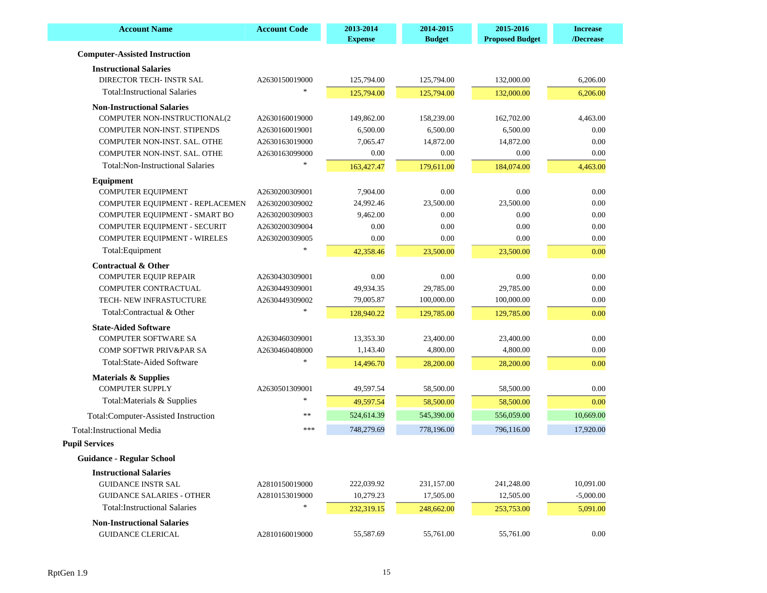| <b>Account Name</b>                     | <b>Account Code</b> | 2013-2014<br><b>Expense</b> | 2014-2015<br><b>Budget</b> | 2015-2016<br><b>Proposed Budget</b> | <b>Increase</b><br>/Decrease |
|-----------------------------------------|---------------------|-----------------------------|----------------------------|-------------------------------------|------------------------------|
| <b>Computer-Assisted Instruction</b>    |                     |                             |                            |                                     |                              |
| <b>Instructional Salaries</b>           |                     |                             |                            |                                     |                              |
| DIRECTOR TECH- INSTR SAL                | A2630150019000      | 125,794.00                  | 125,794.00                 | 132,000.00                          | 6,206.00                     |
| <b>Total:Instructional Salaries</b>     |                     | 125,794.00                  | 125,794.00                 | 132,000.00                          | 6,206.00                     |
| <b>Non-Instructional Salaries</b>       |                     |                             |                            |                                     |                              |
| COMPUTER NON-INSTRUCTIONAL(2            | A2630160019000      | 149,862.00                  | 158,239.00                 | 162,702.00                          | 4,463.00                     |
| COMPUTER NON-INST. STIPENDS             | A2630160019001      | 6,500.00                    | 6,500.00                   | 6,500.00                            | 0.00                         |
| COMPUTER NON-INST. SAL. OTHE            | A2630163019000      | 7,065.47                    | 14,872.00                  | 14,872.00                           | 0.00                         |
| COMPUTER NON-INST. SAL. OTHE            | A2630163099000      | 0.00                        | 0.00                       | 0.00                                | 0.00                         |
| <b>Total:Non-Instructional Salaries</b> |                     | 163,427.47                  | 179,611.00                 | 184,074.00                          | 4,463.00                     |
| Equipment                               |                     |                             |                            |                                     |                              |
| <b>COMPUTER EQUIPMENT</b>               | A2630200309001      | 7,904.00                    | 0.00                       | 0.00                                | 0.00                         |
| COMPUTER EQUIPMENT - REPLACEMEN         | A2630200309002      | 24,992.46                   | 23,500.00                  | 23,500.00                           | 0.00                         |
| COMPUTER EQUIPMENT - SMART BO           | A2630200309003      | 9,462.00                    | 0.00                       | 0.00                                | 0.00                         |
| COMPUTER EQUIPMENT - SECURIT            | A2630200309004      | 0.00                        | 0.00                       | 0.00                                | 0.00                         |
| COMPUTER EQUIPMENT - WIRELES            | A2630200309005      | 0.00                        | 0.00                       | 0.00                                | 0.00                         |
| Total:Equipment                         |                     | 42,358.46                   | 23,500.00                  | 23,500.00                           | 0.00                         |
| <b>Contractual &amp; Other</b>          |                     |                             |                            |                                     |                              |
| <b>COMPUTER EQUIP REPAIR</b>            | A2630430309001      | 0.00                        | 0.00                       | 0.00                                | 0.00                         |
| COMPUTER CONTRACTUAL                    | A2630449309001      | 49,934.35                   | 29,785.00                  | 29,785.00                           | 0.00                         |
| TECH- NEW INFRASTUCTURE                 | A2630449309002      | 79,005.87                   | 100,000.00                 | 100,000.00                          | 0.00                         |
| Total:Contractual & Other               |                     | 128,940.22                  | 129,785.00                 | 129,785.00                          | 0.00                         |
| <b>State-Aided Software</b>             |                     |                             |                            |                                     |                              |
| <b>COMPUTER SOFTWARE SA</b>             | A2630460309001      | 13,353.30                   | 23,400.00                  | 23,400.00                           | 0.00                         |
| <b>COMP SOFTWR PRIV&amp;PAR SA</b>      | A2630460408000      | 1,143.40                    | 4,800.00                   | 4,800.00                            | 0.00                         |
| Total:State-Aided Software              |                     | 14,496.70                   | 28,200.00                  | 28,200.00                           | 0.00                         |
| <b>Materials &amp; Supplies</b>         |                     |                             |                            |                                     |                              |
| <b>COMPUTER SUPPLY</b>                  | A2630501309001      | 49,597.54                   | 58,500.00                  | 58,500.00                           | 0.00                         |
| Total: Materials & Supplies             | $*$                 | 49,597.54                   | 58,500.00                  | 58,500.00                           | 0.00                         |
| Total:Computer-Assisted Instruction     | **                  | 524,614.39                  | 545,390.00                 | 556,059.00                          | 10,669.00                    |
| <b>Total:Instructional Media</b>        | ***                 | 748,279.69                  | 778,196.00                 | 796,116.00                          | 17,920.00                    |
| <b>Pupil Services</b>                   |                     |                             |                            |                                     |                              |
| Guidance - Regular School               |                     |                             |                            |                                     |                              |
| <b>Instructional Salaries</b>           |                     |                             |                            |                                     |                              |
| <b>GUIDANCE INSTR SAL</b>               | A2810150019000      | 222,039.92                  | 231,157.00                 | 241,248.00                          | 10,091.00                    |
| <b>GUIDANCE SALARIES - OTHER</b>        | A2810153019000      | 10,279.23                   | 17,505.00                  | 12,505.00                           | $-5,000.00$                  |
| <b>Total:Instructional Salaries</b>     |                     | 232,319.15                  | 248,662.00                 | 253,753.00                          | 5,091.00                     |
| <b>Non-Instructional Salaries</b>       |                     |                             |                            |                                     |                              |
| <b>GUIDANCE CLERICAL</b>                | A2810160019000      | 55,587.69                   | 55,761.00                  | 55,761.00                           | $0.00\,$                     |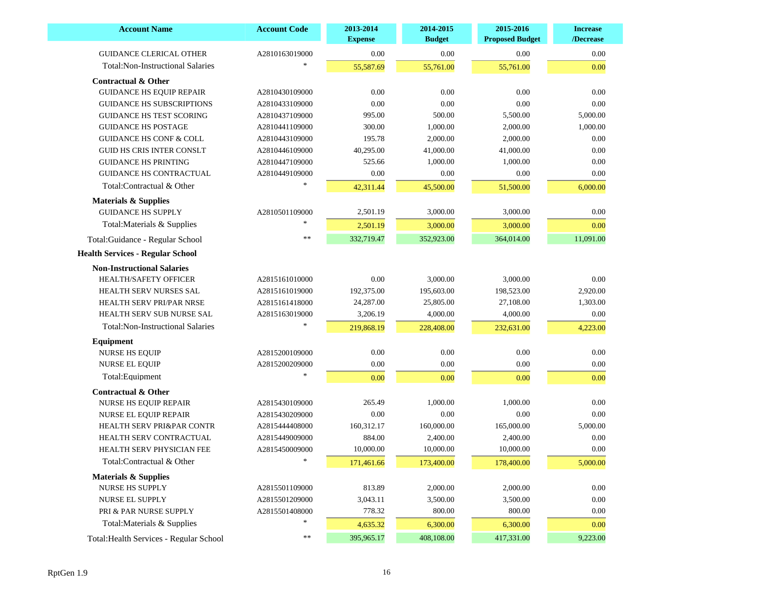| <b>Account Name</b>                     | <b>Account Code</b> | 2013-2014<br><b>Expense</b> | 2014-2015<br><b>Budget</b> | 2015-2016<br><b>Proposed Budget</b> | <b>Increase</b><br>/Decrease |
|-----------------------------------------|---------------------|-----------------------------|----------------------------|-------------------------------------|------------------------------|
| <b>GUIDANCE CLERICAL OTHER</b>          | A2810163019000      | 0.00                        | 0.00                       | 0.00                                | 0.00                         |
| <b>Total:Non-Instructional Salaries</b> |                     | 55,587.69                   | 55,761.00                  | 55,761.00                           | 0.00                         |
| <b>Contractual &amp; Other</b>          |                     |                             |                            |                                     |                              |
| <b>GUIDANCE HS EQUIP REPAIR</b>         | A2810430109000      | 0.00                        | 0.00                       | 0.00                                | 0.00                         |
| <b>GUIDANCE HS SUBSCRIPTIONS</b>        | A2810433109000      | 0.00                        | 0.00                       | 0.00                                | 0.00                         |
| <b>GUIDANCE HS TEST SCORING</b>         | A2810437109000      | 995.00                      | 500.00                     | 5,500.00                            | 5,000.00                     |
| <b>GUIDANCE HS POSTAGE</b>              | A2810441109000      | 300.00                      | 1,000.00                   | 2,000.00                            | 1,000.00                     |
| <b>GUIDANCE HS CONF &amp; COLL</b>      | A2810443109000      | 195.78                      | 2,000.00                   | 2,000.00                            | 0.00                         |
| <b>GUID HS CRIS INTER CONSLT</b>        | A2810446109000      | 40,295.00                   | 41,000.00                  | 41,000.00                           | 0.00                         |
| <b>GUIDANCE HS PRINTING</b>             | A2810447109000      | 525.66                      | 1,000.00                   | 1,000.00                            | 0.00                         |
| <b>GUIDANCE HS CONTRACTUAL</b>          | A2810449109000      | 0.00                        | 0.00                       | 0.00                                | 0.00                         |
| Total:Contractual & Other               |                     | 42,311.44                   | 45,500.00                  | 51,500.00                           | 6,000.00                     |
| <b>Materials &amp; Supplies</b>         |                     |                             |                            |                                     |                              |
| <b>GUIDANCE HS SUPPLY</b>               | A2810501109000      | 2,501.19                    | 3,000.00                   | 3,000.00                            | 0.00                         |
| Total: Materials & Supplies             |                     | 2,501.19                    | 3,000.00                   | 3,000.00                            | 0.00                         |
|                                         | $\ast$              | 332,719.47                  |                            |                                     |                              |
| Total:Guidance - Regular School         |                     |                             | 352,923.00                 | 364,014.00                          | 11,091.00                    |
| <b>Health Services - Regular School</b> |                     |                             |                            |                                     |                              |
| <b>Non-Instructional Salaries</b>       |                     |                             |                            |                                     |                              |
| <b>HEALTH/SAFETY OFFICER</b>            | A2815161010000      | 0.00                        | 3,000.00                   | 3,000.00                            | 0.00                         |
| HEALTH SERV NURSES SAL                  | A2815161019000      | 192,375.00                  | 195,603.00                 | 198,523.00                          | 2,920.00                     |
| HEALTH SERV PRI/PAR NRSE                | A2815161418000      | 24,287.00                   | 25,805.00                  | 27,108.00                           | 1,303.00                     |
| HEALTH SERV SUB NURSE SAL               | A2815163019000      | 3,206.19                    | 4,000.00                   | 4,000.00                            | 0.00                         |
| <b>Total:Non-Instructional Salaries</b> |                     | 219,868.19                  | 228,408.00                 | 232,631.00                          | 4,223.00                     |
| Equipment                               |                     |                             |                            |                                     |                              |
| <b>NURSE HS EQUIP</b>                   | A2815200109000      | $0.00\,$                    | 0.00                       | 0.00                                | $0.00\,$                     |
| <b>NURSE EL EQUIP</b>                   | A2815200209000      | $0.00\,$                    | 0.00                       | 0.00                                | 0.00                         |
| Total:Equipment                         |                     | 0.00                        | 0.00                       | 0.00                                | 0.00                         |
| <b>Contractual &amp; Other</b>          |                     |                             |                            |                                     |                              |
| NURSE HS EQUIP REPAIR                   | A2815430109000      | 265.49                      | 1,000.00                   | 1,000.00                            | 0.00                         |
| NURSE EL EQUIP REPAIR                   | A2815430209000      | 0.00                        | 0.00                       | 0.00                                | 0.00                         |
| <b>HEALTH SERV PRI&amp;PAR CONTR</b>    | A2815444408000      | 160,312.17                  | 160,000.00                 | 165,000.00                          | 5,000.00                     |
| HEALTH SERV CONTRACTUAL                 | A2815449009000      | 884.00                      | 2,400.00                   | 2,400.00                            | 0.00                         |
| HEALTH SERV PHYSICIAN FEE               | A2815450009000      | 10,000.00                   | 10,000.00                  | 10,000.00                           | 0.00                         |
| Total:Contractual & Other               | $*$                 | 171,461.66                  | 173,400.00                 | 178,400.00                          | 5,000.00                     |
| <b>Materials &amp; Supplies</b>         |                     |                             |                            |                                     |                              |
| NURSE HS SUPPLY                         | A2815501109000      | 813.89                      | 2,000.00                   | 2,000.00                            | 0.00                         |
| NURSE EL SUPPLY                         | A2815501209000      | 3,043.11                    | 3,500.00                   | 3,500.00                            | 0.00                         |
| PRI & PAR NURSE SUPPLY                  | A2815501408000      | 778.32                      | 800.00                     | 800.00                              | 0.00                         |
| Total: Materials & Supplies             |                     | 4,635.32                    | 6,300.00                   | 6,300.00                            | 0.00                         |
|                                         | **                  |                             |                            |                                     |                              |
| Total: Health Services - Regular School |                     | 395,965.17                  | 408,108.00                 | 417,331.00                          | 9,223.00                     |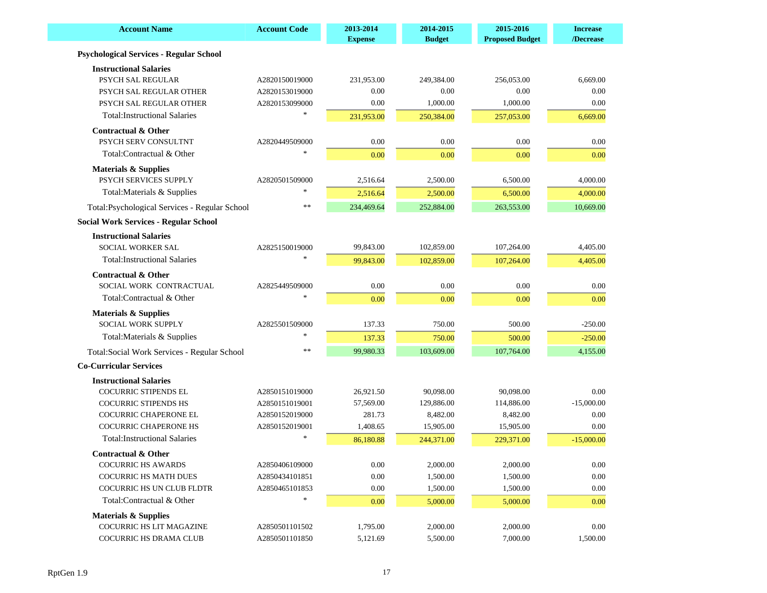| <b>Account Name</b>                            | <b>Account Code</b> | 2013-2014<br><b>Expense</b> | 2014-2015<br><b>Budget</b> | 2015-2016<br><b>Proposed Budget</b> | <b>Increase</b><br>/Decrease |
|------------------------------------------------|---------------------|-----------------------------|----------------------------|-------------------------------------|------------------------------|
| <b>Psychological Services - Regular School</b> |                     |                             |                            |                                     |                              |
| <b>Instructional Salaries</b>                  |                     |                             |                            |                                     |                              |
| <b>PSYCH SAL REGULAR</b>                       | A2820150019000      | 231,953.00                  | 249,384.00                 | 256,053.00                          | 6,669.00                     |
| PSYCH SAL REGULAR OTHER                        | A2820153019000      | 0.00                        | 0.00                       | 0.00                                | 0.00                         |
| PSYCH SAL REGULAR OTHER                        | A2820153099000      | 0.00                        | 1,000.00                   | 1,000.00                            | 0.00                         |
| <b>Total:Instructional Salaries</b>            |                     | 231,953.00                  | 250,384.00                 | 257,053.00                          | 6,669.00                     |
| <b>Contractual &amp; Other</b>                 |                     |                             |                            |                                     |                              |
| PSYCH SERV CONSULTNT                           | A2820449509000      | 0.00                        | 0.00                       | 0.00                                | 0.00                         |
| Total:Contractual & Other                      |                     | 0.00                        | 0.00                       | 0.00                                | 0.00                         |
| <b>Materials &amp; Supplies</b>                |                     |                             |                            |                                     |                              |
| PSYCH SERVICES SUPPLY                          | A2820501509000      | 2,516.64                    | 2,500.00                   | 6,500.00                            | 4,000.00                     |
| Total: Materials & Supplies                    |                     | 2,516.64                    | 2,500.00                   | 6,500.00                            | 4,000.00                     |
| Total: Psychological Services - Regular School | **                  | 234,469.64                  | 252,884.00                 | 263,553.00                          | 10,669.00                    |
| <b>Social Work Services - Regular School</b>   |                     |                             |                            |                                     |                              |
| <b>Instructional Salaries</b>                  |                     |                             |                            |                                     |                              |
| <b>SOCIAL WORKER SAL</b>                       | A2825150019000      | 99,843.00                   | 102,859.00                 | 107,264.00                          | 4,405.00                     |
| <b>Total:Instructional Salaries</b>            |                     | 99,843.00                   | 102,859.00                 | 107,264.00                          | 4,405.00                     |
| <b>Contractual &amp; Other</b>                 |                     |                             |                            |                                     |                              |
| SOCIAL WORK CONTRACTUAL                        | A2825449509000      | 0.00                        | 0.00                       | 0.00                                | 0.00                         |
| Total:Contractual & Other                      |                     | 0.00                        | 0.00                       | 0.00                                | 0.00                         |
| <b>Materials &amp; Supplies</b>                |                     |                             |                            |                                     |                              |
| <b>SOCIAL WORK SUPPLY</b>                      | A2825501509000      | 137.33                      | 750.00                     | 500.00                              | $-250.00$                    |
| Total: Materials & Supplies                    |                     | 137.33                      | 750.00                     | 500.00                              | $-250.00$                    |
| Total: Social Work Services - Regular School   | $\ast$              | 99,980.33                   | 103,609.00                 | 107,764.00                          | 4,155.00                     |
| <b>Co-Curricular Services</b>                  |                     |                             |                            |                                     |                              |
| <b>Instructional Salaries</b>                  |                     |                             |                            |                                     |                              |
| COCURRIC STIPENDS EL                           | A2850151019000      | 26,921.50                   | 90,098.00                  | 90,098.00                           | 0.00                         |
| <b>COCURRIC STIPENDS HS</b>                    | A2850151019001      | 57,569.00                   | 129,886.00                 | 114,886.00                          | $-15,000.00$                 |
| COCURRIC CHAPERONE EL                          | A2850152019000      | 281.73                      | 8,482.00                   | 8,482.00                            | 0.00                         |
| <b>COCURRIC CHAPERONE HS</b>                   | A2850152019001      | 1,408.65                    | 15,905.00                  | 15,905.00                           | 0.00                         |
| <b>Total:Instructional Salaries</b>            |                     | 86,180.88                   | 244,371.00                 | 229,371.00                          | $-15,000.00$                 |
| Contractual & Other                            |                     |                             |                            |                                     |                              |
| <b>COCURRIC HS AWARDS</b>                      | A2850406109000      | 0.00                        | 2,000.00                   | 2,000.00                            | 0.00                         |
| <b>COCURRIC HS MATH DUES</b>                   | A2850434101851      | 0.00                        | 1,500.00                   | 1,500.00                            | 0.00                         |
| COCURRIC HS UN CLUB FLDTR                      | A2850465101853      | $0.00\,$                    | 1,500.00                   | 1,500.00                            | 0.00                         |
| Total:Contractual & Other                      |                     | 0.00                        | 5,000.00                   | 5,000.00                            | 0.00                         |
| <b>Materials &amp; Supplies</b>                |                     |                             |                            |                                     |                              |
| COCURRIC HS LIT MAGAZINE                       | A2850501101502      | 1,795.00                    | 2,000.00                   | 2,000.00                            | 0.00                         |
| COCURRIC HS DRAMA CLUB                         | A2850501101850      | 5,121.69                    | 5,500.00                   | 7,000.00                            | 1,500.00                     |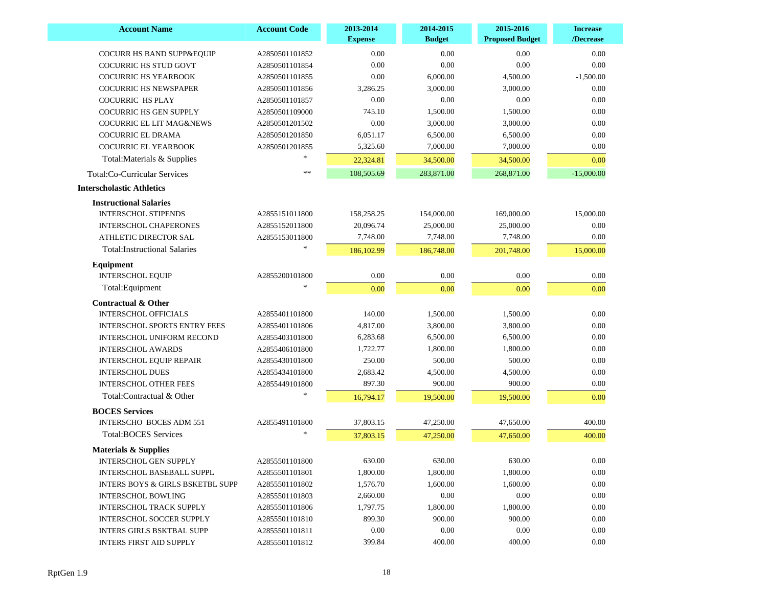| <b>Account Name</b>                         | <b>Account Code</b> | 2013-2014<br><b>Expense</b> | 2014-2015<br><b>Budget</b> | 2015-2016<br><b>Proposed Budget</b> | <b>Increase</b><br>/Decrease |
|---------------------------------------------|---------------------|-----------------------------|----------------------------|-------------------------------------|------------------------------|
| COCURR HS BAND SUPP&EQUIP                   | A2850501101852      | 0.00                        | 0.00                       | 0.00                                | 0.00                         |
| <b>COCURRIC HS STUD GOVT</b>                | A2850501101854      | 0.00                        | 0.00                       | 0.00                                | 0.00                         |
| <b>COCURRIC HS YEARBOOK</b>                 | A2850501101855      | 0.00                        | 6,000.00                   | 4,500.00                            | $-1,500.00$                  |
| <b>COCURRIC HS NEWSPAPER</b>                | A2850501101856      | 3,286.25                    | 3,000.00                   | 3,000.00                            | 0.00                         |
| <b>COCURRIC HS PLAY</b>                     | A2850501101857      | 0.00                        | 0.00                       | 0.00                                | 0.00                         |
| <b>COCURRIC HS GEN SUPPLY</b>               | A2850501109000      | 745.10                      | 1,500.00                   | 1,500.00                            | 0.00                         |
| <b>COCURRIC EL LIT MAG&amp;NEWS</b>         | A2850501201502      | 0.00                        | 3,000.00                   | 3,000.00                            | $0.00\,$                     |
| COCURRIC EL DRAMA                           | A2850501201850      | 6,051.17                    | 6,500.00                   | 6,500.00                            | $0.00\,$                     |
| <b>COCURRIC EL YEARBOOK</b>                 | A2850501201855      | 5,325.60                    | 7,000.00                   | 7,000.00                            | 0.00                         |
| Total: Materials & Supplies                 |                     | 22,324.81                   | 34,500.00                  | 34,500.00                           | 0.00                         |
| Total:Co-Curricular Services                | $\ast$              | 108,505.69                  | 283,871.00                 | 268,871.00                          | $-15,000.00$                 |
| <b>Interscholastic Athletics</b>            |                     |                             |                            |                                     |                              |
| <b>Instructional Salaries</b>               |                     |                             |                            |                                     |                              |
| <b>INTERSCHOL STIPENDS</b>                  | A2855151011800      | 158,258.25                  | 154,000.00                 | 169,000.00                          | 15,000.00                    |
| <b>INTERSCHOL CHAPERONES</b>                | A2855152011800      | 20,096.74                   | 25,000.00                  | 25,000.00                           | 0.00                         |
| ATHLETIC DIRECTOR SAL                       | A2855153011800      | 7,748.00                    | 7,748.00                   | 7,748.00                            | 0.00                         |
| <b>Total:Instructional Salaries</b>         |                     | 186,102.99                  | 186,748.00                 | 201,748.00                          | 15,000.00                    |
| Equipment                                   |                     |                             |                            |                                     |                              |
| <b>INTERSCHOL EQUIP</b>                     | A2855200101800      | $0.00\,$                    | 0.00                       | 0.00                                | 0.00                         |
| Total:Equipment                             |                     | 0.00                        | 0.00                       | 0.00                                | 0.00                         |
| <b>Contractual &amp; Other</b>              |                     |                             |                            |                                     |                              |
| <b>INTERSCHOL OFFICIALS</b>                 | A2855401101800      | 140.00                      | 1,500.00                   | 1,500.00                            | 0.00                         |
| <b>INTERSCHOL SPORTS ENTRY FEES</b>         | A2855401101806      | 4,817.00                    | 3,800.00                   | 3,800.00                            | 0.00                         |
| <b>INTERSCHOL UNIFORM RECOND</b>            | A2855403101800      | 6,283.68                    | 6,500.00                   | 6,500.00                            | 0.00                         |
| <b>INTERSCHOL AWARDS</b>                    | A2855406101800      | 1,722.77                    | 1,800.00                   | 1,800.00                            | 0.00                         |
| <b>INTERSCHOL EQUIP REPAIR</b>              | A2855430101800      | 250.00                      | 500.00                     | 500.00                              | 0.00                         |
| <b>INTERSCHOL DUES</b>                      | A2855434101800      | 2,683.42                    | 4,500.00                   | 4,500.00                            | 0.00                         |
| <b>INTERSCHOL OTHER FEES</b>                | A2855449101800      | 897.30                      | 900.00                     | 900.00                              | 0.00                         |
| Total:Contractual & Other                   |                     | 16,794.17                   | 19,500.00                  | 19,500.00                           | 0.00                         |
| <b>BOCES</b> Services                       |                     |                             |                            |                                     |                              |
| <b>INTERSCHO BOCES ADM 551</b>              | A2855491101800      | 37,803.15                   | 47,250.00                  | 47,650.00                           | 400.00                       |
| <b>Total:BOCES Services</b>                 |                     | 37,803.15                   | 47,250.00                  | 47,650.00                           | 400.00                       |
| <b>Materials &amp; Supplies</b>             |                     |                             |                            |                                     |                              |
| <b>INTERSCHOL GEN SUPPLY</b>                | A2855501101800      | 630.00                      | 630.00                     | 630.00                              | 0.00                         |
| <b>INTERSCHOL BASEBALL SUPPL</b>            | A2855501101801      | 1,800.00                    | 1,800.00                   | 1,800.00                            | 0.00                         |
| <b>INTERS BOYS &amp; GIRLS BSKETBL SUPP</b> | A2855501101802      | 1,576.70                    | 1,600.00                   | 1,600.00                            | 0.00                         |
| <b>INTERSCHOL BOWLING</b>                   | A2855501101803      | 2,660.00                    | 0.00                       | 0.00                                | 0.00                         |
| <b>INTERSCHOL TRACK SUPPLY</b>              | A2855501101806      | 1,797.75                    | 1,800.00                   | 1,800.00                            | 0.00                         |
| <b>INTERSCHOL SOCCER SUPPLY</b>             | A2855501101810      | 899.30                      | 900.00                     | 900.00                              | 0.00                         |
| <b>INTERS GIRLS BSKTBAL SUPP</b>            | A2855501101811      | $0.00\,$                    | 0.00                       | 0.00                                | 0.00                         |
| <b>INTERS FIRST AID SUPPLY</b>              | A2855501101812      | 399.84                      | 400.00                     | 400.00                              | 0.00                         |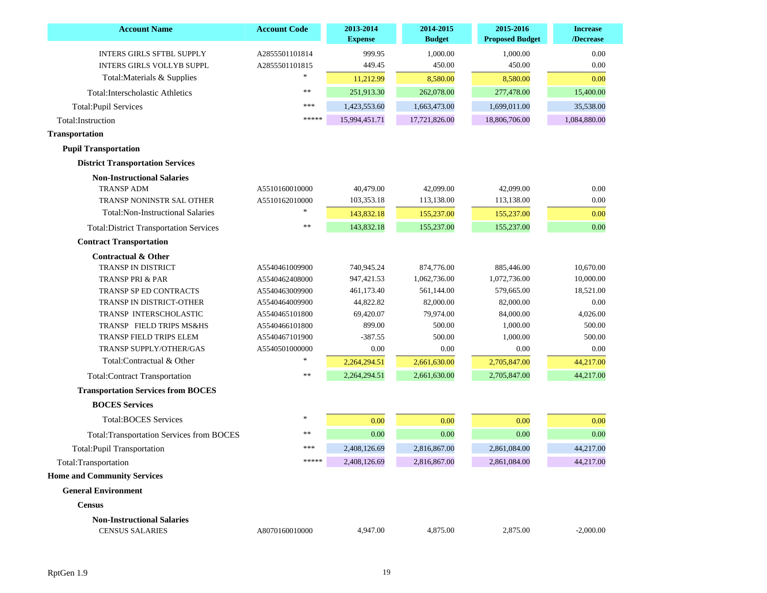| <b>Account Name</b>                              | <b>Account Code</b> | 2013-2014<br><b>Expense</b> | 2014-2015<br><b>Budget</b> | 2015-2016<br><b>Proposed Budget</b> | <b>Increase</b><br>/Decrease |
|--------------------------------------------------|---------------------|-----------------------------|----------------------------|-------------------------------------|------------------------------|
| <b>INTERS GIRLS SFTBL SUPPLY</b>                 | A2855501101814      | 999.95                      | 1,000.00                   | 1,000.00                            | 0.00                         |
| <b>INTERS GIRLS VOLLYB SUPPL</b>                 | A2855501101815      | 449.45                      | 450.00                     | 450.00                              | 0.00                         |
| Total: Materials & Supplies                      | $\ast$              | 11,212.99                   | 8,580.00                   | 8,580.00                            | 0.00                         |
| <b>Total:Interscholastic Athletics</b>           | **                  | 251,913.30                  | 262,078.00                 | 277,478.00                          | 15,400.00                    |
| <b>Total:Pupil Services</b>                      | ***                 | 1,423,553.60                | 1,663,473.00               | 1,699,011.00                        | 35,538.00                    |
| Total:Instruction                                | *****               | 15,994,451.71               | 17,721,826.00              | 18,806,706.00                       | 1,084,880.00                 |
| <b>Transportation</b>                            |                     |                             |                            |                                     |                              |
| <b>Pupil Transportation</b>                      |                     |                             |                            |                                     |                              |
| <b>District Transportation Services</b>          |                     |                             |                            |                                     |                              |
| <b>Non-Instructional Salaries</b>                |                     |                             |                            |                                     |                              |
| <b>TRANSP ADM</b>                                | A5510160010000      | 40,479.00                   | 42,099.00                  | 42,099.00                           | 0.00                         |
| TRANSP NONINSTR SAL OTHER                        | A5510162010000      | 103,353.18                  | 113,138.00                 | 113,138.00                          | 0.00                         |
| <b>Total:Non-Instructional Salaries</b>          |                     | 143,832.18                  | 155,237.00                 | 155,237.00                          | 0.00                         |
| <b>Total: District Transportation Services</b>   | $\ast$              | 143,832.18                  | 155,237.00                 | 155,237.00                          | 0.00                         |
| <b>Contract Transportation</b>                   |                     |                             |                            |                                     |                              |
| <b>Contractual &amp; Other</b>                   |                     |                             |                            |                                     |                              |
| <b>TRANSP IN DISTRICT</b>                        | A5540461009900      | 740,945.24                  | 874,776.00                 | 885,446.00                          | 10,670.00                    |
| <b>TRANSP PRI &amp; PAR</b>                      | A5540462408000      | 947, 421.53                 | 1,062,736.00               | 1,072,736.00                        | 10,000.00                    |
| <b>TRANSP SP ED CONTRACTS</b>                    | A5540463009900      | 461,173.40                  | 561,144.00                 | 579,665.00                          | 18,521.00                    |
| TRANSP IN DISTRICT-OTHER                         | A5540464009900      | 44,822.82                   | 82,000.00                  | 82,000.00                           | 0.00                         |
| TRANSP INTERSCHOLASTIC                           | A5540465101800      | 69,420.07                   | 79,974.00                  | 84,000.00                           | 4,026.00                     |
| TRANSP FIELD TRIPS MS&HS                         | A5540466101800      | 899.00                      | 500.00                     | 1,000.00                            | 500.00                       |
| TRANSP FIELD TRIPS ELEM                          | A5540467101900      | $-387.55$                   | 500.00                     | 1,000.00                            | 500.00                       |
| TRANSP SUPPLY/OTHER/GAS                          | A5540501000000      | 0.00                        | 0.00                       | 0.00                                | 0.00                         |
| Total:Contractual & Other                        |                     | 2,264,294.51                | 2,661,630.00               | 2,705,847.00                        | 44,217.00                    |
| <b>Total:Contract Transportation</b>             | $\ast$              | 2,264,294.51                | 2,661,630.00               | 2,705,847.00                        | 44,217.00                    |
| <b>Transportation Services from BOCES</b>        |                     |                             |                            |                                     |                              |
| <b>BOCES</b> Services                            |                     |                             |                            |                                     |                              |
| <b>Total:BOCES Services</b>                      | $*$                 | 0.00                        | 0.00                       | 0.00                                | 0.00                         |
| <b>Total: Transportation Services from BOCES</b> | **                  | 0.00                        | 0.00                       | 0.00                                | 0.00                         |
| <b>Total:Pupil Transportation</b>                | ***                 | 2,408,126.69                | 2,816,867.00               | 2,861,084.00                        | 44,217.00                    |
| Total:Transportation                             | *****               | 2,408,126.69                | 2,816,867.00               | 2,861,084.00                        | 44,217.00                    |
| <b>Home and Community Services</b>               |                     |                             |                            |                                     |                              |
| <b>General Environment</b>                       |                     |                             |                            |                                     |                              |
| <b>Census</b>                                    |                     |                             |                            |                                     |                              |
| <b>Non-Instructional Salaries</b>                |                     |                             |                            |                                     |                              |
| <b>CENSUS SALARIES</b>                           | A8070160010000      | 4,947.00                    | 4,875.00                   | 2,875.00                            | $-2,000.00$                  |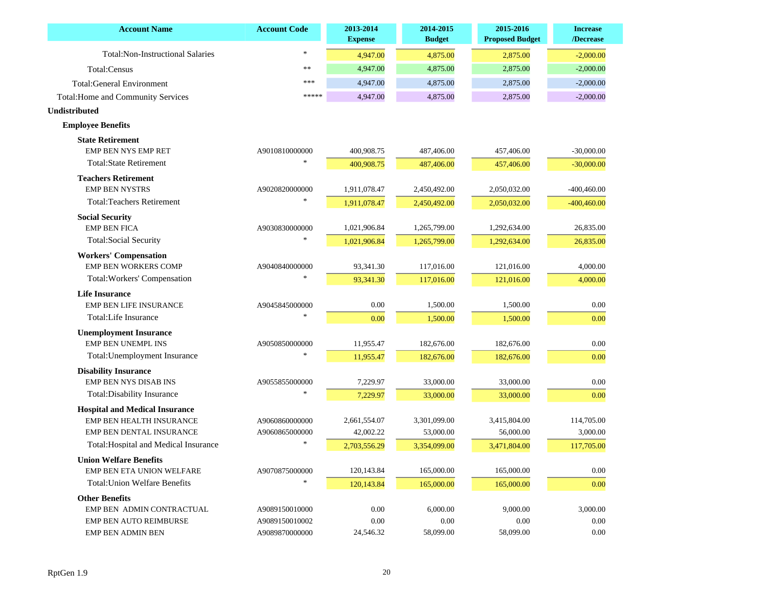| <b>Account Name</b>                                         | <b>Account Code</b> | 2013-2014<br><b>Expense</b> | 2014-2015<br><b>Budget</b> | 2015-2016<br><b>Proposed Budget</b> | <b>Increase</b><br>/Decrease |
|-------------------------------------------------------------|---------------------|-----------------------------|----------------------------|-------------------------------------|------------------------------|
| <b>Total:Non-Instructional Salaries</b>                     | $\ast$              | 4,947.00                    | 4,875.00                   | 2,875.00                            | $-2,000.00$                  |
| Total:Census                                                | $\ast$              | 4,947.00                    | 4,875.00                   | 2,875.00                            | $-2,000.00$                  |
| <b>Total:General Environment</b>                            | ***                 | 4,947.00                    | 4,875.00                   | 2,875.00                            | $-2,000.00$                  |
| <b>Total: Home and Community Services</b>                   | *****               | 4,947.00                    | 4,875.00                   | 2,875.00                            | $-2,000.00$                  |
| <b>Undistributed</b>                                        |                     |                             |                            |                                     |                              |
| <b>Employee Benefits</b>                                    |                     |                             |                            |                                     |                              |
| <b>State Retirement</b>                                     |                     |                             |                            |                                     |                              |
| EMP BEN NYS EMP RET                                         | A9010810000000      | 400,908.75                  | 487,406.00                 | 457,406.00                          | $-30,000.00$                 |
| <b>Total:State Retirement</b>                               |                     | 400,908.75                  | 487,406.00                 | 457,406.00                          | $-30,000.00$                 |
| <b>Teachers Retirement</b>                                  |                     |                             |                            |                                     |                              |
| <b>EMP BEN NYSTRS</b>                                       | A9020820000000      | 1,911,078.47                | 2,450,492.00               | 2,050,032.00                        | $-400,460.00$                |
| <b>Total:Teachers Retirement</b>                            |                     | 1,911,078.47                | 2,450,492.00               | 2,050,032.00                        | $-400,460.00$                |
| <b>Social Security</b>                                      |                     |                             |                            |                                     |                              |
| <b>EMP BEN FICA</b>                                         | A9030830000000      | 1,021,906.84                | 1,265,799.00               | 1,292,634.00                        | 26,835.00                    |
| <b>Total:Social Security</b>                                |                     | 1,021,906.84                | 1,265,799.00               | 1,292,634.00                        | 26,835.00                    |
| <b>Workers' Compensation</b><br><b>EMP BEN WORKERS COMP</b> | A9040840000000      | 93,341.30                   | 117,016.00                 | 121,016.00                          | 4,000.00                     |
| Total: Workers' Compensation                                |                     | 93,341.30                   | 117,016.00                 | 121,016.00                          | 4,000.00                     |
| <b>Life Insurance</b>                                       |                     |                             |                            |                                     |                              |
| <b>EMP BEN LIFE INSURANCE</b>                               | A9045845000000      | 0.00                        | 1,500.00                   | 1,500.00                            | 0.00                         |
| Total:Life Insurance                                        |                     | 0.00                        | 1,500.00                   | 1,500.00                            | 0.00                         |
| <b>Unemployment Insurance</b>                               |                     |                             |                            |                                     |                              |
| <b>EMP BEN UNEMPL INS</b>                                   | A9050850000000      | 11,955.47                   | 182,676.00                 | 182,676.00                          | 0.00                         |
| Total: Unemployment Insurance                               |                     | 11,955.47                   | 182,676.00                 | 182,676.00                          | 0.00                         |
| <b>Disability Insurance</b>                                 |                     |                             |                            |                                     |                              |
| <b>EMP BEN NYS DISAB INS</b>                                | A9055855000000      | 7,229.97                    | 33,000.00                  | 33,000.00                           | 0.00                         |
| Total: Disability Insurance                                 |                     | 7,229.97                    | 33,000.00                  | 33,000.00                           | 0.00                         |
| <b>Hospital and Medical Insurance</b>                       |                     |                             |                            |                                     |                              |
| EMP BEN HEALTH INSURANCE                                    | A9060860000000      | 2,661,554.07                | 3,301,099.00               | 3,415,804.00                        | 114,705.00                   |
| <b>EMP BEN DENTAL INSURANCE</b>                             | A9060865000000      | 42,002.22                   | 53,000.00                  | 56,000.00                           | 3,000.00                     |
| Total: Hospital and Medical Insurance                       |                     | 2,703,556.29                | 3,354,099.00               | 3,471,804.00                        | 117,705.00                   |
| <b>Union Welfare Benefits</b>                               |                     |                             |                            |                                     |                              |
| EMP BEN ETA UNION WELFARE                                   | A9070875000000      | 120,143.84                  | 165,000.00                 | 165,000.00                          | 0.00                         |
| <b>Total: Union Welfare Benefits</b>                        | $*$                 | 120,143.84                  | 165,000.00                 | 165,000.00                          | 0.00                         |
| <b>Other Benefits</b>                                       |                     |                             |                            |                                     |                              |
| EMP BEN ADMIN CONTRACTUAL                                   | A9089150010000      | 0.00                        | 6,000.00                   | 9,000.00                            | 3,000.00                     |
| <b>EMP BEN AUTO REIMBURSE</b>                               | A9089150010002      | 0.00                        | 0.00                       | 0.00                                | 0.00                         |
| <b>EMP BEN ADMIN BEN</b>                                    | A9089870000000      | 24,546.32                   | 58,099.00                  | 58,099.00                           | 0.00                         |